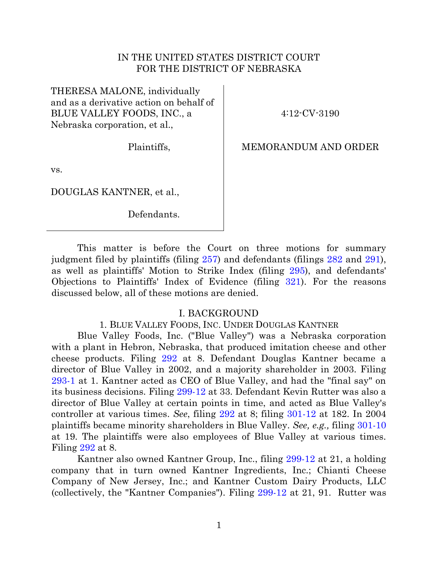## IN THE UNITED STATES DISTRICT COURT FOR THE DISTRICT OF NEBRASKA

THERESA MALONE, individually and as a derivative action on behalf of BLUE VALLEY FOODS, INC., a Nebraska corporation, et al.,

Plaintiffs,

vs.

DOUGLAS KANTNER, et al.,

Defendants.

4:12-CV-3190

## MEMORANDUM AND ORDER

This matter is before the Court on three motions for summary judgment filed by plaintiffs (filing [257\)](https://ecf.ned.uscourts.gov/doc1/11313226692) and defendants (filings [282](https://ecf.ned.uscourts.gov/doc1/11313285603) and [291\)](https://ecf.ned.uscourts.gov/doc1/11313287465), as well as plaintiffs' Motion to Strike Index (filing [295\)](https://ecf.ned.uscourts.gov/doc1/11313293553), and defendants' Objections to Plaintiffs' Index of Evidence (filing [321\)](https://ecf.ned.uscourts.gov/doc1/11313306848). For the reasons discussed below, all of these motions are denied.

#### I. BACKGROUND

#### 1. BLUE VALLEY FOODS, INC. UNDER DOUGLAS KANTNER

Blue Valley Foods, Inc. ("Blue Valley") was a Nebraska corporation with a plant in Hebron, Nebraska, that produced imitation cheese and other cheese products. Filing [292](https://ecf.ned.uscourts.gov/doc1/11313287471) at 8. Defendant Douglas Kantner became a director of Blue Valley in 2002, and a majority shareholder in 2003. Filing [293-1](https://ecf.ned.uscourts.gov/doc1/11313287496) at 1. Kantner acted as CEO of Blue Valley, and had the "final say" on its business decisions. Filing [299-12](https://ecf.ned.uscourts.gov/doc1/11313296546) at 33. Defendant Kevin Rutter was also a director of Blue Valley at certain points in time, and acted as Blue Valley's controller at various times. *See*, filing [292](https://ecf.ned.uscourts.gov/doc1/11313287471) at 8; filing [301-12](https://ecf.ned.uscourts.gov/doc1/11313296604) at 182. In 2004 plaintiffs became minority shareholders in Blue Valley. *See, e.g.,* filing [301-10](https://ecf.ned.uscourts.gov/doc1/11313296602) at 19. The plaintiffs were also employees of Blue Valley at various times. Filing [292](https://ecf.ned.uscourts.gov/doc1/11313287471) at 8.

Kantner also owned Kantner Group, Inc., filing [299-12](https://ecf.ned.uscourts.gov/doc1/11313296546) at 21, a holding company that in turn owned Kantner Ingredients, Inc.; Chianti Cheese Company of New Jersey, Inc.; and Kantner Custom Dairy Products, LLC (collectively, the "Kantner Companies"). Filing [299-12](https://ecf.ned.uscourts.gov/doc1/11313296546) at 21, 91. Rutter was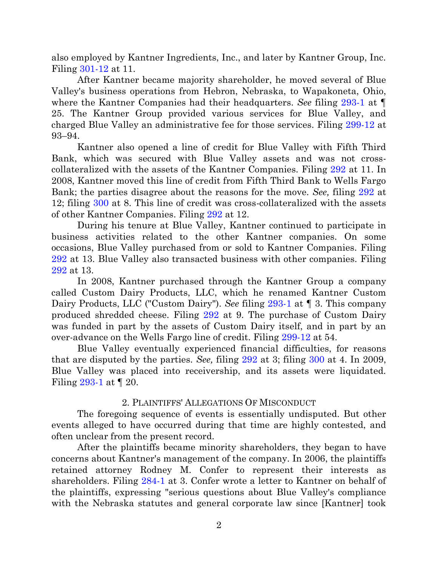also employed by Kantner Ingredients, Inc., and later by Kantner Group, Inc. Filing [301-12](https://ecf.ned.uscourts.gov/doc1/11313296604) at 11.

After Kantner became majority shareholder, he moved several of Blue Valley's business operations from Hebron, Nebraska, to Wapakoneta, Ohio, where the Kantner Companies had their headquarters. *See* filing [293-1](https://ecf.ned.uscourts.gov/doc1/11313287496) at ¶ 25. The Kantner Group provided various services for Blue Valley, and charged Blue Valley an administrative fee for those services. Filing [299-12](https://ecf.ned.uscourts.gov/doc1/11313296546) at 93–94.

Kantner also opened a line of credit for Blue Valley with Fifth Third Bank, which was secured with Blue Valley assets and was not crosscollateralized with the assets of the Kantner Companies. Filing [292](https://ecf.ned.uscourts.gov/doc1/11313287471) at 11. In 2008, Kantner moved this line of credit from Fifth Third Bank to Wells Fargo Bank; the parties disagree about the reasons for the move. *See,* filing [292](https://ecf.ned.uscourts.gov/doc1/11313287471) at 12; filing [300](https://ecf.ned.uscourts.gov/doc1/11313296583) at 8. This line of credit was cross-collateralized with the assets of other Kantner Companies. Filing [292](https://ecf.ned.uscourts.gov/doc1/11313287471) at 12.

During his tenure at Blue Valley, Kantner continued to participate in business activities related to the other Kantner companies. On some occasions, Blue Valley purchased from or sold to Kantner Companies. Filing [292](https://ecf.ned.uscourts.gov/doc1/11313287471) at 13. Blue Valley also transacted business with other companies. Filing [292](https://ecf.ned.uscourts.gov/doc1/11313287471) at 13.

In 2008, Kantner purchased through the Kantner Group a company called Custom Dairy Products, LLC, which he renamed Kantner Custom Dairy Products, LLC ("Custom Dairy"). *See* filing [293-1](https://ecf.ned.uscourts.gov/doc1/11313287496) at ¶ 3. This company produced shredded cheese. Filing [292](https://ecf.ned.uscourts.gov/doc1/11313287471) at 9. The purchase of Custom Dairy was funded in part by the assets of Custom Dairy itself, and in part by an over-advance on the Wells Fargo line of credit. Filing [299-12](https://ecf.ned.uscourts.gov/doc1/11313296546) at 54.

Blue Valley eventually experienced financial difficulties, for reasons that are disputed by the parties. *See,* filing [292](https://ecf.ned.uscourts.gov/doc1/11313287471) at 3; filing [300](https://ecf.ned.uscourts.gov/doc1/11313296583) at 4. In 2009, Blue Valley was placed into receivership, and its assets were liquidated. Filing [293-1](https://ecf.ned.uscourts.gov/doc1/11313287496) at ¶ 20.

### 2. PLAINTIFFS' ALLEGATIONS OF MISCONDUCT

The foregoing sequence of events is essentially undisputed. But other events alleged to have occurred during that time are highly contested, and often unclear from the present record.

After the plaintiffs became minority shareholders, they began to have concerns about Kantner's management of the company. In 2006, the plaintiffs retained attorney Rodney M. Confer to represent their interests as shareholders. Filing [284-1](https://ecf.ned.uscourts.gov/doc1/11313285641) at 3. Confer wrote a letter to Kantner on behalf of the plaintiffs, expressing "serious questions about Blue Valley's compliance with the Nebraska statutes and general corporate law since [Kantner] took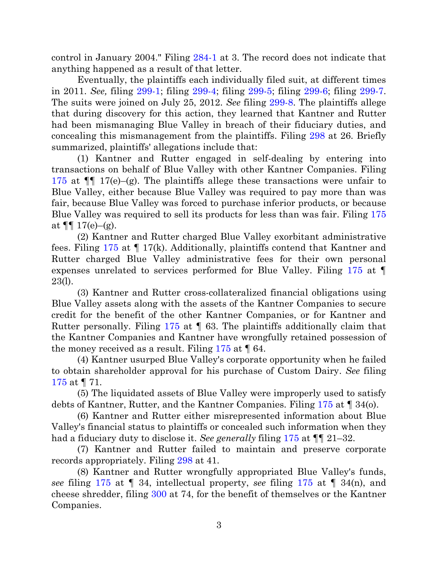control in January 2004." Filing [284-1](https://ecf.ned.uscourts.gov/doc1/11313285641) at 3. The record does not indicate that anything happened as a result of that letter.

Eventually, the plaintiffs each individually filed suit, at different times in 2011. *See,* filing [299-1;](https://ecf.ned.uscourts.gov/doc1/11313296533) filing [299-4;](https://ecf.ned.uscourts.gov/doc1/11313296536) filing [299-5;](https://ecf.ned.uscourts.gov/doc1/11313296537) filing [299-6;](https://ecf.ned.uscourts.gov/doc1/11313296539) filing [299-7.](https://ecf.ned.uscourts.gov/doc1/11313296541) The suits were joined on July 25, 2012. *See* filing [299-8.](https://ecf.ned.uscourts.gov/doc1/11313296542) The plaintiffs allege that during discovery for this action, they learned that Kantner and Rutter had been mismanaging Blue Valley in breach of their fiduciary duties, and concealing this mismanagement from the plaintiffs. Filing [298](https://ecf.ned.uscourts.gov/doc1/11313296256) at 26. Briefly summarized, plaintiffs' allegations include that:

(1) Kantner and Rutter engaged in self-dealing by entering into transactions on behalf of Blue Valley with other Kantner Companies. Filing [175](https://ecf.ned.uscourts.gov/doc1/11303065775) at  $\P$  17(e)–(g). The plaintiffs allege these transactions were unfair to Blue Valley, either because Blue Valley was required to pay more than was fair, because Blue Valley was forced to purchase inferior products, or because Blue Valley was required to sell its products for less than was fair. Filing [175](https://ecf.ned.uscourts.gov/doc1/11303065775) at  $\P\P$  17(e)–(g).

(2) Kantner and Rutter charged Blue Valley exorbitant administrative fees. Filing [175](https://ecf.ned.uscourts.gov/doc1/11303065775) at ¶ 17(k). Additionally, plaintiffs contend that Kantner and Rutter charged Blue Valley administrative fees for their own personal expenses unrelated to services performed for Blue Valley. Filing [175](https://ecf.ned.uscourts.gov/doc1/11303065775) at ¶ 23(l).

(3) Kantner and Rutter cross-collateralized financial obligations using Blue Valley assets along with the assets of the Kantner Companies to secure credit for the benefit of the other Kantner Companies, or for Kantner and Rutter personally. Filing [175](https://ecf.ned.uscourts.gov/doc1/11303065775) at ¶ 63. The plaintiffs additionally claim that the Kantner Companies and Kantner have wrongfully retained possession of the money received as a result. Filing  $175$  at  $\llbracket 64$ .

(4) Kantner usurped Blue Valley's corporate opportunity when he failed to obtain shareholder approval for his purchase of Custom Dairy. *See* filing [175](https://ecf.ned.uscourts.gov/doc1/11303065775) at ¶ 71.

(5) The liquidated assets of Blue Valley were improperly used to satisfy debts of Kantner, Rutter, and the Kantner Companies. Filing [175](https://ecf.ned.uscourts.gov/doc1/11303065775) at ¶ 34(o).

(6) Kantner and Rutter either misrepresented information about Blue Valley's financial status to plaintiffs or concealed such information when they had a fiduciary duty to disclose it. *See generally* filing [175](https://ecf.ned.uscourts.gov/doc1/11303065775) at ¶¶ 21–32.

(7) Kantner and Rutter failed to maintain and preserve corporate records appropriately. Filing [298](https://ecf.ned.uscourts.gov/doc1/11313296256) at 41.

(8) Kantner and Rutter wrongfully appropriated Blue Valley's funds, *see* filing [175](https://ecf.ned.uscourts.gov/doc1/11303065775) at ¶ 34, intellectual property, *see* filing [175](https://ecf.ned.uscourts.gov/doc1/11303065775) at ¶ 34(n), and cheese shredder, filing [300](https://ecf.ned.uscourts.gov/doc1/11313296583) at 74, for the benefit of themselves or the Kantner Companies.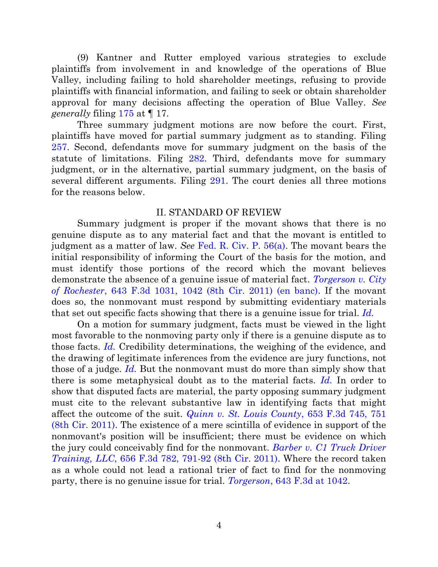(9) Kantner and Rutter employed various strategies to exclude plaintiffs from involvement in and knowledge of the operations of Blue Valley, including failing to hold shareholder meetings, refusing to provide plaintiffs with financial information, and failing to seek or obtain shareholder approval for many decisions affecting the operation of Blue Valley. *See generally* filing [175](https://ecf.ned.uscourts.gov/doc1/11303065775) at ¶ 17.

Three summary judgment motions are now before the court. First, plaintiffs have moved for partial summary judgment as to standing. Filing [257.](https://ecf.ned.uscourts.gov/doc1/11313226692) Second, defendants move for summary judgment on the basis of the statute of limitations. Filing [282.](file:///C:/Users/ekk/AppData/Local/Temp/notes17C0A2/282) Third, defendants move for summary judgment, or in the alternative, partial summary judgment, on the basis of several different arguments. Filing [291.](https://ecf.ned.uscourts.gov/doc1/11313287465) The court denies all three motions for the reasons below.

#### II. STANDARD OF REVIEW

Summary judgment is proper if the movant shows that there is no genuine dispute as to any material fact and that the movant is entitled to judgment as a matter of law. *See* [Fed. R. Civ. P. 56\(a\).](http://westlaw.com/find/default.wl?ft=L&docname=USFRCPR56&rs=btil2.0&rp=%2ffind%2fdefault.wl&fn=_top&findtype=L&vr=2.0&db=1000600&wbtoolsId=USFRCPR56&HistoryType=F) The movant bears the initial responsibility of informing the Court of the basis for the motion, and must identify those portions of the record which the movant believes demonstrate the absence of a genuine issue of material fact. *[Torgerson v. City](http://westlaw.com/find/default.wl?ft=Y&referencepositiontype=S&rs=btil2.0&rp=%2ffind%2fdefault.wl&serialnum=2025389148&fn=_top&referenceposition=1042&findtype=Y&vr=2.0&wbtoolsId=2025389148&HistoryType=F)  of Rochester*[, 643 F.3d 1031, 1042 \(8th Cir. 2011\) \(en banc\).](http://westlaw.com/find/default.wl?ft=Y&referencepositiontype=S&rs=btil2.0&rp=%2ffind%2fdefault.wl&serialnum=2025389148&fn=_top&referenceposition=1042&findtype=Y&vr=2.0&wbtoolsId=2025389148&HistoryType=F) If the movant does so, the nonmovant must respond by submitting evidentiary materials that set out specific facts showing that there is a genuine issue for trial. *Id.*

On a motion for summary judgment, facts must be viewed in the light most favorable to the nonmoving party only if there is a genuine dispute as to those facts. *Id.* Credibility determinations, the weighing of the evidence, and the drawing of legitimate inferences from the evidence are jury functions, not those of a judge. *Id.* But the nonmovant must do more than simply show that there is some metaphysical doubt as to the material facts. *Id.* In order to show that disputed facts are material, the party opposing summary judgment must cite to the relevant substantive law in identifying facts that might affect the outcome of the suit. *[Quinn v. St. Louis County](http://westlaw.com/find/default.wl?ft=Y&referencepositiontype=S&rs=btil2.0&rp=%2ffind%2fdefault.wl&serialnum=2026078281&fn=_top&referenceposition=751&findtype=Y&vr=2.0&db=0000506&wbtoolsId=2026078281&HistoryType=F)*, 653 F.3d 745, 751 [\(8th Cir. 2011\).](http://westlaw.com/find/default.wl?ft=Y&referencepositiontype=S&rs=btil2.0&rp=%2ffind%2fdefault.wl&serialnum=2026078281&fn=_top&referenceposition=751&findtype=Y&vr=2.0&db=0000506&wbtoolsId=2026078281&HistoryType=F) The existence of a mere scintilla of evidence in support of the nonmovant's position will be insufficient; there must be evidence on which the jury could conceivably find for the nonmovant. *[Barber v. C1 Truck Driver](http://westlaw.com/find/default.wl?ft=Y&referencepositiontype=S&rs=btil2.0&rp=%2ffind%2fdefault.wl&serialnum=2026172825&fn=_top&referenceposition=791&findtype=Y&vr=2.0&db=0000506&wbtoolsId=2026172825&HistoryType=F)  Training, LLC*[, 656 F.3d 782, 791-92 \(8th Cir. 2011\).](http://westlaw.com/find/default.wl?ft=Y&referencepositiontype=S&rs=btil2.0&rp=%2ffind%2fdefault.wl&serialnum=2026172825&fn=_top&referenceposition=791&findtype=Y&vr=2.0&db=0000506&wbtoolsId=2026172825&HistoryType=F) Where the record taken as a whole could not lead a rational trier of fact to find for the nonmoving party, there is no genuine issue for trial. *Torgerson*[, 643 F.3d at 1042.](http://westlaw.com/find/default.wl?ft=Y&referencepositiontype=S&rs=btil2.0&rp=%2ffind%2fdefault.wl&serialnum=2025389148&fn=_top&referenceposition=1042&findtype=Y&vr=2.0&wbtoolsId=2025389148&HistoryType=F)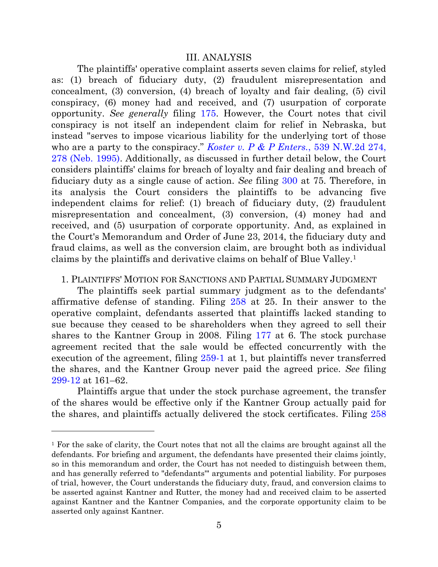#### III. ANALYSIS

The plaintiffs' operative complaint asserts seven claims for relief, styled as: (1) breach of fiduciary duty, (2) fraudulent misrepresentation and concealment, (3) conversion, (4) breach of loyalty and fair dealing, (5) civil conspiracy, (6) money had and received, and (7) usurpation of corporate opportunity. *See generally* filing [175.](https://ecf.ned.uscourts.gov/doc1/11303065775) However, the Court notes that civil conspiracy is not itself an independent claim for relief in Nebraska, but instead "serves to impose vicarious liability for the underlying tort of those who are a party to the conspiracy." *[Koster v. P & P Enters.](https://a.next.westlaw.com/Link/Document/FullText?findType=Y&serNum=1995222907&pubNum=0000595&originatingDoc=I1e38bd74ff2811d983e7e9deff98dc6f&refType=RP&originationContext=document&transitionType=DocumentItem&contextData=%28sc.UserEnteredCitation%29#co_pp_sp_595_278)*, 539 N.W.2d 274, [278 \(Neb. 1995\).](https://a.next.westlaw.com/Link/Document/FullText?findType=Y&serNum=1995222907&pubNum=0000595&originatingDoc=I1e38bd74ff2811d983e7e9deff98dc6f&refType=RP&originationContext=document&transitionType=DocumentItem&contextData=%28sc.UserEnteredCitation%29#co_pp_sp_595_278) Additionally, as discussed in further detail below, the Court considers plaintiffs' claims for breach of loyalty and fair dealing and breach of fiduciary duty as a single cause of action. *See* filing [300](https://ecf.ned.uscourts.gov/doc1/11313296583) at 75. Therefore, in its analysis the Court considers the plaintiffs to be advancing five independent claims for relief: (1) breach of fiduciary duty, (2) fraudulent misrepresentation and concealment, (3) conversion, (4) money had and received, and (5) usurpation of corporate opportunity. And, as explained in the Court's Memorandum and Order of June 23, 2014, the fiduciary duty and fraud claims, as well as the conversion claim, are brought both as individual claims by the plaintiffs and derivative claims on behalf of Blue Valley.<sup>1</sup>

#### 1. PLAINTIFFS' MOTION FOR SANCTIONS AND PARTIAL SUMMARY JUDGMENT

The plaintiffs seek partial summary judgment as to the defendants' affirmative defense of standing. Filing [258](https://ecf.ned.uscourts.gov/doc1/11313226695) at 25. In their answer to the operative complaint, defendants asserted that plaintiffs lacked standing to sue because they ceased to be shareholders when they agreed to sell their shares to the Kantner Group in 2008. Filing [177](https://ecf.ned.uscourts.gov/doc1/11303076758) at 6. The stock purchase agreement recited that the sale would be effected concurrently with the execution of the agreement, filing [259-1](https://ecf.ned.uscourts.gov/doc1/11313226731) at 1, but plaintiffs never transferred the shares, and the Kantner Group never paid the agreed price. *See* filing [299-12](https://ecf.ned.uscourts.gov/doc1/11313296546) at 161–62.

Plaintiffs argue that under the stock purchase agreement, the transfer of the shares would be effective only if the Kantner Group actually paid for the shares, and plaintiffs actually delivered the stock certificates. Filing [258](https://ecf.ned.uscourts.gov/doc1/11313226695)

<sup>1</sup> For the sake of clarity, the Court notes that not all the claims are brought against all the defendants. For briefing and argument, the defendants have presented their claims jointly, so in this memorandum and order, the Court has not needed to distinguish between them, and has generally referred to "defendants'" arguments and potential liability. For purposes of trial, however, the Court understands the fiduciary duty, fraud, and conversion claims to be asserted against Kantner and Rutter, the money had and received claim to be asserted against Kantner and the Kantner Companies, and the corporate opportunity claim to be asserted only against Kantner.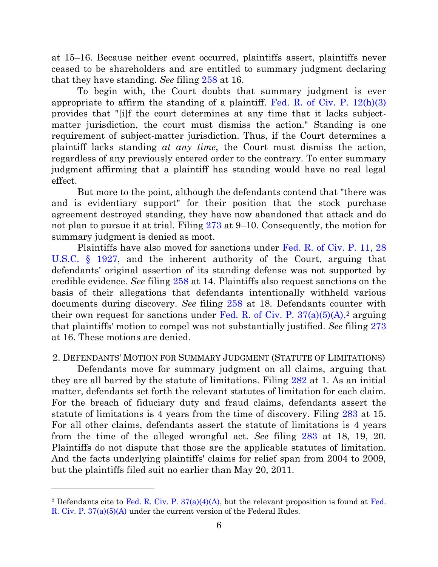at 15–16. Because neither event occurred, plaintiffs assert, plaintiffs never ceased to be shareholders and are entitled to summary judgment declaring that they have standing. *See* filing [258](https://ecf.ned.uscourts.gov/doc1/11313226695) at 16.

To begin with, the Court doubts that summary judgment is ever appropriate to affirm the standing of a plaintiff. Fed. R. of Civ. P.  $12(h)(3)$ provides that "[i]f the court determines at any time that it lacks subjectmatter jurisdiction, the court must dismiss the action." Standing is one requirement of subject-matter jurisdiction. Thus, if the Court determines a plaintiff lacks standing *at any time*, the Court must dismiss the action, regardless of any previously entered order to the contrary. To enter summary judgment affirming that a plaintiff has standing would have no real legal effect.

But more to the point, although the defendants contend that "there was and is evidentiary support" for their position that the stock purchase agreement destroyed standing, they have now abandoned that attack and do not plan to pursue it at trial. Filing [273](https://ecf.ned.uscourts.gov/doc1/11313244901) at 9–10. Consequently, the motion for summary judgment is denied as moot.

Plaintiffs have also moved for sanctions under Fed. R. [of Civ.](https://a.next.westlaw.com/Document/N71274E70B96011D8983DF34406B5929B/View/FullText.html?originationContext=previousnextsection&contextData=%28sc.UserEnteredCitation%29&transitionType=StatuteNavigator&needToInjectTerms=False) P. 11, [28](https://a.next.westlaw.com/Document/NCE9C8290A35911D88B25BBE406C5D950/View/FullText.html?transitionType=UniqueDocItem&contextData=%28sc.Document%29&userEnteredCitation=28+U.S.C.+%C2%A7+1927)  [U.S.C. § 1927,](https://a.next.westlaw.com/Document/NCE9C8290A35911D88B25BBE406C5D950/View/FullText.html?transitionType=UniqueDocItem&contextData=%28sc.Document%29&userEnteredCitation=28+U.S.C.+%C2%A7+1927) and the inherent authority of the Court, arguing that defendants' original assertion of its standing defense was not supported by credible evidence. *See* filing [258](https://ecf.ned.uscourts.gov/doc1/11313226695) at 14. Plaintiffs also request sanctions on the basis of their allegations that defendants intentionally withheld various documents during discovery. *See* filing [258](https://ecf.ned.uscourts.gov/doc1/11313226695) at 18. Defendants counter with their own request for sanctions under Fed. R. of Civ. P.  $37(a)(5)(A)$ , arguing that plaintiffs' motion to compel was not substantially justified. *See* filing [273](https://ecf.ned.uscourts.gov/doc1/11313244901) at 16. These motions are denied.

2. DEFENDANTS' MOTION FOR SUMMARY JUDGMENT (STATUTE OF LIMITATIONS)

Defendants move for summary judgment on all claims, arguing that they are all barred by the statute of limitations. Filing [282](file:///C:/Users/ekk/AppData/Local/Temp/notes17C0A2/282) at 1. As an initial matter, defendants set forth the relevant statutes of limitation for each claim. For the breach of fiduciary duty and fraud claims, defendants assert the statute of limitations is 4 years from the time of discovery. Filing [283](https://ecf.ned.uscourts.gov/doc1/11313285620) at 15. For all other claims, defendants assert the statute of limitations is 4 years from the time of the alleged wrongful act. *See* filing [283](https://ecf.ned.uscourts.gov/doc1/11313285620) at 18, 19, 20. Plaintiffs do not dispute that those are the applicable statutes of limitation. And the facts underlying plaintiffs' claims for relief span from 2004 to 2009, but the plaintiffs filed suit no earlier than May 20, 2011.

<sup>&</sup>lt;sup>2</sup> Defendants cite to [Fed.](https://a.next.westlaw.com/Document/NA31111F0B96511D8983DF34406B5929B/View/FullText.html?transitionType=UniqueDocItem&contextData=%28sc.Search%29&userEnteredCitation=fed.+r.+civ.+p.+37&firstPage=true) R. Civ. P.  $37(a)(4)(A)$ , but the relevant proposition is found at Fed. [R. Civ. P. 37\(a\)\(5\)\(A\)](https://a.next.westlaw.com/Document/NA31111F0B96511D8983DF34406B5929B/View/FullText.html?transitionType=UniqueDocItem&contextData=%28sc.Search%29&userEnteredCitation=fed.+r.+civ.+p.+37&firstPage=true) under the current version of the Federal Rules.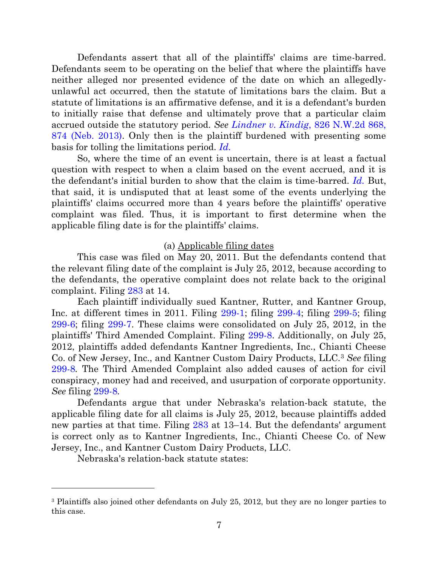Defendants assert that all of the plaintiffs' claims are time-barred. Defendants seem to be operating on the belief that where the plaintiffs have neither alleged nor presented evidence of the date on which an allegedlyunlawful act occurred, then the statute of limitations bars the claim. But a statute of limitations is an affirmative defense, and it is a defendant's burden to initially raise that defense and ultimately prove that a particular claim accrued outside the statutory period. *See Lindner v. Kindig*[, 826 N.W.2d 868,](https://a.next.westlaw.com/Document/I7c80a7c3827f11e2bae99fc449e7cd17/View/FullText.html?transitionType=UniqueDocItem&contextData=%28sc.Default%29&userEnteredCitation=826+N.W.2d+868)  [874 \(Neb. 2013\).](https://a.next.westlaw.com/Document/I7c80a7c3827f11e2bae99fc449e7cd17/View/FullText.html?transitionType=UniqueDocItem&contextData=%28sc.Default%29&userEnteredCitation=826+N.W.2d+868) Only then is the plaintiff burdened with presenting some basis for tolling the limitations period. *[Id.](https://a.next.westlaw.com/Document/I7c80a7c3827f11e2bae99fc449e7cd17/View/FullText.html?transitionType=UniqueDocItem&contextData=%28sc.Default%29&userEnteredCitation=826+N.W.2d+868)*

So, where the time of an event is uncertain, there is at least a factual question with respect to when a claim based on the event accrued, and it is the defendant's initial burden to show that the claim is time-barred. *[Id.](https://a.next.westlaw.com/Document/I7c80a7c3827f11e2bae99fc449e7cd17/View/FullText.html?transitionType=UniqueDocItem&contextData=%28sc.Default%29&userEnteredCitation=826+N.W.2d+868)* But, that said, it is undisputed that at least some of the events underlying the plaintiffs' claims occurred more than 4 years before the plaintiffs' operative complaint was filed. Thus, it is important to first determine when the applicable filing date is for the plaintiffs' claims.

#### (a) Applicable filing dates

This case was filed on May 20, 2011. But the defendants contend that the relevant filing date of the complaint is July 25, 2012, because according to the defendants, the operative complaint does not relate back to the original complaint. Filing [283](https://ecf.ned.uscourts.gov/doc1/11313285620) at 14.

Each plaintiff individually sued Kantner, Rutter, and Kantner Group, Inc. at different times in 2011. Filing [299-1;](https://ecf.ned.uscourts.gov/doc1/11313296533) filing [299-4;](https://ecf.ned.uscourts.gov/doc1/11313296536) filing [299-5;](https://ecf.ned.uscourts.gov/doc1/11313296537) filing [299-6;](https://ecf.ned.uscourts.gov/doc1/11313296539) filing [299-7.](https://ecf.ned.uscourts.gov/doc1/11313296541) These claims were consolidated on July 25, 2012, in the plaintiffs' Third Amended Complaint. Filing [299-8.](https://ecf.ned.uscourts.gov/doc1/11313296542) Additionally, on July 25, 2012, plaintiffs added defendants Kantner Ingredients, Inc., Chianti Cheese Co. of New Jersey, Inc., and Kantner Custom Dairy Products, LLC.<sup>3</sup> *See* filing [299-8](https://ecf.ned.uscourts.gov/doc1/11313296542)*.* The Third Amended Complaint also added causes of action for civil conspiracy, money had and received, and usurpation of corporate opportunity. *See* filing [299-8](https://ecf.ned.uscourts.gov/doc1/11313296542)*.*

Defendants argue that under Nebraska's relation-back statute, the applicable filing date for all claims is July 25, 2012, because plaintiffs added new parties at that time. Filing [283](https://ecf.ned.uscourts.gov/doc1/11313285620) at 13–14. But the defendants' argument is correct only as to Kantner Ingredients, Inc., Chianti Cheese Co. of New Jersey, Inc., and Kantner Custom Dairy Products, LLC.

Nebraska's relation-back statute states:

<sup>3</sup> Plaintiffs also joined other defendants on July 25, 2012, but they are no longer parties to this case.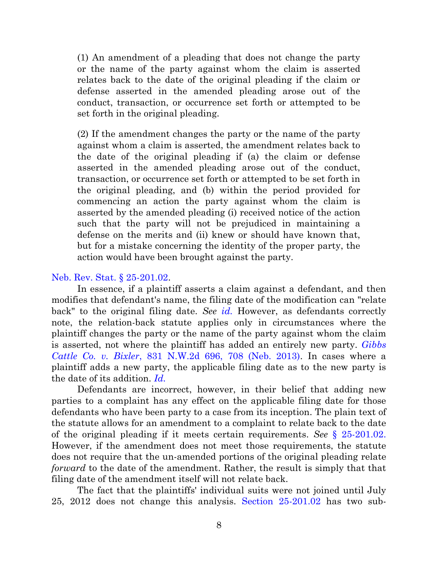(1) An amendment of a pleading that does not change the party or the name of the party against whom the claim is asserted relates back to the date of the original pleading if the claim or defense asserted in the amended pleading arose out of the conduct, transaction, or occurrence set forth or attempted to be set forth in the original pleading.

(2) If the amendment changes the party or the name of the party against whom a claim is asserted, the amendment relates back to the date of the original pleading if (a) the claim or defense asserted in the amended pleading arose out of the conduct, transaction, or occurrence set forth or attempted to be set forth in the original pleading, and (b) within the period provided for commencing an action the party against whom the claim is asserted by the amended pleading (i) received notice of the action such that the party will not be prejudiced in maintaining a defense on the merits and (ii) knew or should have known that, but for a mistake concerning the identity of the proper party, the action would have been brought against the party.

#### [Neb. Rev. Stat. § 25-201.02.](https://a.next.westlaw.com/Document/NCE089580AEBB11DEA0C8A10D09B7A847/View/FullText.html?transitionType=UniqueDocItem&contextData=%28sc.UserEnteredCitation%29&userEnteredCitation=Neb.+Rev.+Stat.+%C2%A7+25-201.02)

In essence, if a plaintiff asserts a claim against a defendant, and then modifies that defendant's name, the filing date of the modification can "relate back" to the original filing date. *See [id.](https://a.next.westlaw.com/Document/NCE089580AEBB11DEA0C8A10D09B7A847/View/FullText.html?transitionType=UniqueDocItem&contextData=%28sc.UserEnteredCitation%29&userEnteredCitation=Neb.+Rev.+Stat.+%C2%A7+25-201.02)* However, as defendants correctly note, the relation-back statute applies only in circumstances where the plaintiff changes the party or the name of the party against whom the claim is asserted, not where the plaintiff has added an entirely new party. *[Gibbs](https://a.next.westlaw.com/Document/I13a7bcdcc49411e28501bda794601919/View/FullText.html?originationContext=negativeTreatment&transitionType=Document&contextData=%28sc.UserEnteredCitation%29&docSource=de5eff58a3ed46c885420f671559f40c&rulebookMode=false)  Cattle Co. v. Bixler*[, 831 N.W.2d 696, 708 \(Neb. 2013\).](https://a.next.westlaw.com/Document/I13a7bcdcc49411e28501bda794601919/View/FullText.html?originationContext=negativeTreatment&transitionType=Document&contextData=%28sc.UserEnteredCitation%29&docSource=de5eff58a3ed46c885420f671559f40c&rulebookMode=false) In cases where a plaintiff adds a new party, the applicable filing date as to the new party is the date of its addition. *[Id.](https://a.next.westlaw.com/Document/I13a7bcdcc49411e28501bda794601919/View/FullText.html?originationContext=negativeTreatment&transitionType=Document&contextData=%28sc.UserEnteredCitation%29&docSource=de5eff58a3ed46c885420f671559f40c&rulebookMode=false)*

Defendants are incorrect, however, in their belief that adding new parties to a complaint has any effect on the applicable filing date for those defendants who have been party to a case from its inception. The plain text of the statute allows for an amendment to a complaint to relate back to the date of the original pleading if it meets certain requirements. *See* [§ 25-201.02.](https://a.next.westlaw.com/Document/NCE089580AEBB11DEA0C8A10D09B7A847/View/FullText.html?transitionType=UniqueDocItem&contextData=%28sc.UserEnteredCitation%29&userEnteredCitation=Neb.+Rev.+Stat.+%C2%A7+25-201.02) However, if the amendment does not meet those requirements, the statute does not require that the un-amended portions of the original pleading relate *forward* to the date of the amendment. Rather, the result is simply that that filing date of the amendment itself will not relate back.

The fact that the plaintiffs' individual suits were not joined until July 25, 2012 does not change this analysis. [Section 25-201.02](https://a.next.westlaw.com/Document/NCE089580AEBB11DEA0C8A10D09B7A847/View/FullText.html?transitionType=UniqueDocItem&contextData=%28sc.UserEnteredCitation%29&userEnteredCitation=Neb.+Rev.+Stat.+%C2%A7+25-201.02) has two sub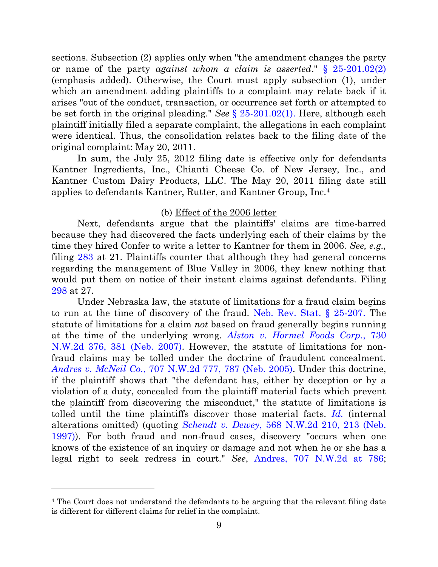sections. Subsection (2) applies only when "the amendment changes the party or name of the party *against whom a claim is asserted*." [§ 25-201.02\(2\)](https://a.next.westlaw.com/Document/NCE089580AEBB11DEA0C8A10D09B7A847/View/FullText.html?transitionType=UniqueDocItem&contextData=%28sc.UserEnteredCitation%29&userEnteredCitation=Neb.+Rev.+Stat.+%C2%A7+25-201.02) (emphasis added). Otherwise, the Court must apply subsection (1), under which an amendment adding plaintiffs to a complaint may relate back if it arises "out of the conduct, transaction, or occurrence set forth or attempted to be set forth in the original pleading." *See* [§ 25-201.02\(1\).](https://a.next.westlaw.com/Document/NCE089580AEBB11DEA0C8A10D09B7A847/View/FullText.html?transitionType=UniqueDocItem&contextData=%28sc.UserEnteredCitation%29&userEnteredCitation=Neb.+Rev.+Stat.+%C2%A7+25-201.02) Here, although each plaintiff initially filed a separate complaint, the allegations in each complaint were identical. Thus, the consolidation relates back to the filing date of the original complaint: May 20, 2011.

In sum, the July 25, 2012 filing date is effective only for defendants Kantner Ingredients, Inc., Chianti Cheese Co. of New Jersey, Inc., and Kantner Custom Dairy Products, LLC. The May 20, 2011 filing date still applies to defendants Kantner, Rutter, and Kantner Group, Inc.<sup>4</sup>

### (b) Effect of the 2006 letter

Next, defendants argue that the plaintiffs' claims are time-barred because they had discovered the facts underlying each of their claims by the time they hired Confer to write a letter to Kantner for them in 2006. *See, e.g.,* filing [283](https://ecf.ned.uscourts.gov/doc1/11313285620) at 21. Plaintiffs counter that although they had general concerns regarding the management of Blue Valley in 2006, they knew nothing that would put them on notice of their instant claims against defendants. Filing [298](https://ecf.ned.uscourts.gov/doc1/11313296256) at 27.

Under Nebraska law, the statute of limitations for a fraud claim begins to run at the time of discovery of the fraud. [Neb. Rev. Stat. § 25-207.](https://a.next.westlaw.com/Document/NDD288070AEBB11DEA0C8A10D09B7A847/View/FullText.html?transitionType=UniqueDocItem&contextData=%28sc.UserEnteredCitation%29&userEnteredCitation=neb+rev.+stat.+25-207) The statute of limitations for a claim *not* based on fraud generally begins running at the time of the underlying wrong. *[Alston v. Hormel Foods Corp.](https://a.next.westlaw.com/Document/I7bf7c230ef6d11dbaf8dafd7ee2b8b26/View/FullText.html?transitionType=UniqueDocItem&contextData=%28sc.UserEnteredCitation%29&userEnteredCitation=730+N.W.2d+376)*, 730 [N.W.2d 376, 381 \(Neb. 2007\).](https://a.next.westlaw.com/Document/I7bf7c230ef6d11dbaf8dafd7ee2b8b26/View/FullText.html?transitionType=UniqueDocItem&contextData=%28sc.UserEnteredCitation%29&userEnteredCitation=730+N.W.2d+376) However, the statute of limitations for nonfraud claims may be tolled under the doctrine of fraudulent concealment. *Andres v. McNeil Co.*[, 707 N.W.2d 777, 787 \(Neb. 2005\).](https://a.next.westlaw.com/Link/Document/FullText?findType=Y&serNum=2008114134&pubNum=595&originatingDoc=I210562ddb98b11e2981ea20c4f198a69&refType=RP&originationContext=document&transitionType=DocumentItem&contextData=%28sc.UserEnteredCitation%29) Under this doctrine, if the plaintiff shows that "the defendant has, either by deception or by a violation of a duty, concealed from the plaintiff material facts which prevent the plaintiff from discovering the misconduct," the statute of limitations is tolled until the time plaintiffs discover those material facts. *[Id.](https://a.next.westlaw.com/Link/Document/FullText?findType=Y&serNum=2008114134&pubNum=595&originatingDoc=I210562ddb98b11e2981ea20c4f198a69&refType=RP&originationContext=document&transitionType=DocumentItem&contextData=%28sc.UserEnteredCitation%29)* (internal alterations omitted) (quoting *Schendt v. Dewey*[, 568 N.W.2d 210, 213 \(Neb.](https://a.next.westlaw.com/Link/Document/FullText?findType=Y&serNum=1997179162&pubNum=595&originatingDoc=I5c0d5b7b81f911da9cfda9de91273d56&refType=RP&fi=co_pp_sp_595_213&originationContext=document&transitionType=DocumentItem&contextData=(sc.DocLink)#co_pp_sp_595_213)  [1997\)\)](https://a.next.westlaw.com/Link/Document/FullText?findType=Y&serNum=1997179162&pubNum=595&originatingDoc=I5c0d5b7b81f911da9cfda9de91273d56&refType=RP&fi=co_pp_sp_595_213&originationContext=document&transitionType=DocumentItem&contextData=(sc.DocLink)#co_pp_sp_595_213). For both fraud and non-fraud cases, discovery "occurs when one knows of the existence of an inquiry or damage and not when he or she has a legal right to seek redress in court." *See*, [Andres, 707 N.W.2d at 786;](https://a.next.westlaw.com/Link/Document/FullText?findType=Y&serNum=2008114134&pubNum=595&originatingDoc=I210562ddb98b11e2981ea20c4f198a69&refType=RP&originationContext=document&transitionType=DocumentItem&contextData=%28sc.UserEnteredCitation%29)

<sup>4</sup> The Court does not understand the defendants to be arguing that the relevant filing date is different for different claims for relief in the complaint.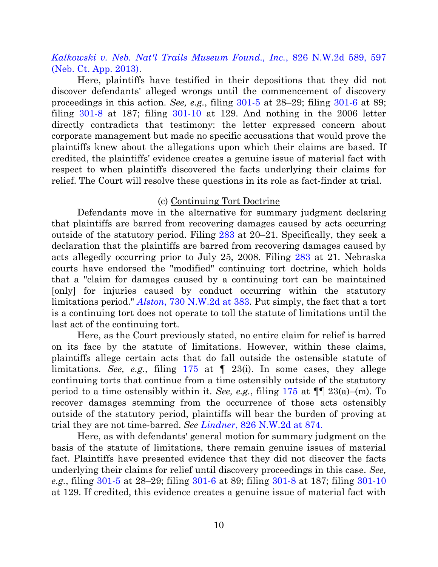*[Kalkowski v. Neb. Nat'l Trails Museum Found., Inc.](https://a.next.westlaw.com/Document/I3e5d2e62752511e28a21ccb9036b2470/View/FullText.html?transitionType=UniqueDocItem&contextData=%28sc.Default%29&userEnteredCitation=826+nw2d+589)*, 826 N.W.2d 589, 597 [\(Neb. Ct. App. 2013\).](https://a.next.westlaw.com/Document/I3e5d2e62752511e28a21ccb9036b2470/View/FullText.html?transitionType=UniqueDocItem&contextData=%28sc.Default%29&userEnteredCitation=826+nw2d+589)

Here, plaintiffs have testified in their depositions that they did not discover defendants' alleged wrongs until the commencement of discovery proceedings in this action. *See, e.g.*, filing [301-5](https://ecf.ned.uscourts.gov/doc1/11313296597) at 28–29; filing [301-6](https://ecf.ned.uscourts.gov/doc1/11313296598) at 89; filing [301-8](https://ecf.ned.uscourts.gov/doc1/11313296600) at 187; filing [301-10](https://ecf.ned.uscourts.gov/doc1/11313296602) at 129. And nothing in the 2006 letter directly contradicts that testimony: the letter expressed concern about corporate management but made no specific accusations that would prove the plaintiffs knew about the allegations upon which their claims are based. If credited, the plaintiffs' evidence creates a genuine issue of material fact with respect to when plaintiffs discovered the facts underlying their claims for relief. The Court will resolve these questions in its role as fact-finder at trial.

#### (c) Continuing Tort Doctrine

Defendants move in the alternative for summary judgment declaring that plaintiffs are barred from recovering damages caused by acts occurring outside of the statutory period. Filing [283](https://ecf.ned.uscourts.gov/doc1/11313285620) at 20–21. Specifically, they seek a declaration that the plaintiffs are barred from recovering damages caused by acts allegedly occurring prior to July 25, 2008. Filing [283](https://ecf.ned.uscourts.gov/doc1/11313285620) at 21. Nebraska courts have endorsed the "modified" continuing tort doctrine, which holds that a "claim for damages caused by a continuing tort can be maintained [only] for injuries caused by conduct occurring within the statutory limitations period." *Alston*[, 730 N.W.2d at 383.](https://a.next.westlaw.com/Document/I7bf7c230ef6d11dbaf8dafd7ee2b8b26/View/FullText.html?transitionType=UniqueDocItem&contextData=%28sc.Search%29&userEnteredCitation=730+nw2d+381#co_pp_sp_595_381) Put simply, the fact that a tort is a continuing tort does not operate to toll the statute of limitations until the last act of the continuing tort.

Here, as the Court previously stated, no entire claim for relief is barred on its face by the statute of limitations. However, within these claims, plaintiffs allege certain acts that do fall outside the ostensible statute of limitations. *See, e.g.*, filing [175](https://ecf.ned.uscourts.gov/doc1/11303065775) at ¶ 23(i). In some cases, they allege continuing torts that continue from a time ostensibly outside of the statutory period to a time ostensibly within it. *See, e.g.*, filing [175](https://ecf.ned.uscourts.gov/doc1/11303065775) at ¶¶ 23(a)–(m). To recover damages stemming from the occurrence of those acts ostensibly outside of the statutory period, plaintiffs will bear the burden of proving at trial they are not time-barred. *See Lindner*[, 826 N.W.2d at 874.](https://a.next.westlaw.com/Document/I7c80a7c3827f11e2bae99fc449e7cd17/View/FullText.html?transitionType=UniqueDocItem&contextData=%28sc.Default%29&userEnteredCitation=826+N.W.2d+868)

Here, as with defendants' general motion for summary judgment on the basis of the statute of limitations, there remain genuine issues of material fact. Plaintiffs have presented evidence that they did not discover the facts underlying their claims for relief until discovery proceedings in this case. *See, e.g.*, filing [301-5](https://ecf.ned.uscourts.gov/doc1/11313296597) at 28–29; filing [301-6](https://ecf.ned.uscourts.gov/doc1/11313296598) at 89; filing [301-8](https://ecf.ned.uscourts.gov/doc1/11313296600) at 187; filing [301-10](https://ecf.ned.uscourts.gov/doc1/11313296602) at 129. If credited, this evidence creates a genuine issue of material fact with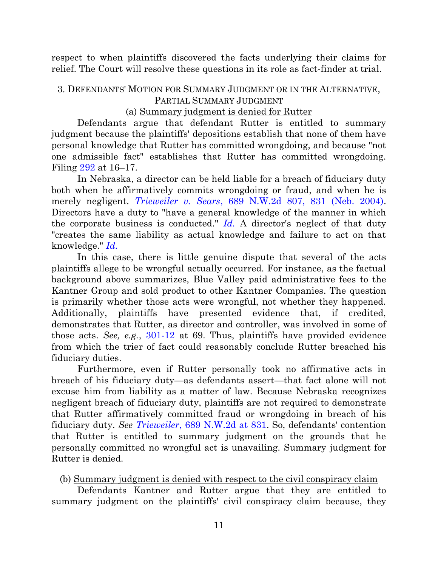respect to when plaintiffs discovered the facts underlying their claims for relief. The Court will resolve these questions in its role as fact-finder at trial.

## 3. DEFENDANTS' MOTION FOR SUMMARY JUDGMENT OR IN THE ALTERNATIVE, PARTIAL SUMMARY JUDGMENT

### (a) Summary judgment is denied for Rutter

Defendants argue that defendant Rutter is entitled to summary judgment because the plaintiffs' depositions establish that none of them have personal knowledge that Rutter has committed wrongdoing, and because "not one admissible fact" establishes that Rutter has committed wrongdoing. Filing [292](https://ecf.ned.uscourts.gov/doc1/11313287471) at 16–17.

In Nebraska, a director can be held liable for a breach of fiduciary duty both when he affirmatively commits wrongdoing or fraud, and when he is merely negligent. *Trieweiler v. Sears*[, 689 N.W.2d 807, 831 \(Neb. 2004\).](https://a.next.westlaw.com/Document/I872b672eff7711d9bf60c1d57ebc853e/View/FullText.html?transitionType=UniqueDocItem&contextData=%28sc.UserEnteredCitation%29&userEnteredCitation=689+N.W.2d+807) Directors have a duty to "have a general knowledge of the manner in which the corporate business is conducted." *[Id.](https://a.next.westlaw.com/Document/I872b672eff7711d9bf60c1d57ebc853e/View/FullText.html?transitionType=UniqueDocItem&contextData=%28sc.UserEnteredCitation%29&userEnteredCitation=689+N.W.2d+807)* A director's neglect of that duty "creates the same liability as actual knowledge and failure to act on that knowledge." *[Id.](https://a.next.westlaw.com/Document/I872b672eff7711d9bf60c1d57ebc853e/View/FullText.html?transitionType=UniqueDocItem&contextData=%28sc.UserEnteredCitation%29&userEnteredCitation=689+N.W.2d+807)*

In this case, there is little genuine dispute that several of the acts plaintiffs allege to be wrongful actually occurred. For instance, as the factual background above summarizes, Blue Valley paid administrative fees to the Kantner Group and sold product to other Kantner Companies. The question is primarily whether those acts were wrongful, not whether they happened. Additionally, plaintiffs have presented evidence that, if credited, demonstrates that Rutter, as director and controller, was involved in some of those acts. *See, e.g.*, [301-12](https://ecf.ned.uscourts.gov/doc1/11313296604) at 69. Thus, plaintiffs have provided evidence from which the trier of fact could reasonably conclude Rutter breached his fiduciary duties.

Furthermore, even if Rutter personally took no affirmative acts in breach of his fiduciary duty—as defendants assert—that fact alone will not excuse him from liability as a matter of law. Because Nebraska recognizes negligent breach of fiduciary duty, plaintiffs are not required to demonstrate that Rutter affirmatively committed fraud or wrongdoing in breach of his fiduciary duty. *See Trieweiler*[, 689 N.W.2d at](https://a.next.westlaw.com/Document/I872b672eff7711d9bf60c1d57ebc853e/View/FullText.html?transitionType=UniqueDocItem&contextData=%28sc.UserEnteredCitation%29&userEnteredCitation=689+N.W.2d+807) 831. So, defendants' contention that Rutter is entitled to summary judgment on the grounds that he personally committed no wrongful act is unavailing. Summary judgment for Rutter is denied.

### (b) Summary judgment is denied with respect to the civil conspiracy claim

Defendants Kantner and Rutter argue that they are entitled to summary judgment on the plaintiffs' civil conspiracy claim because, they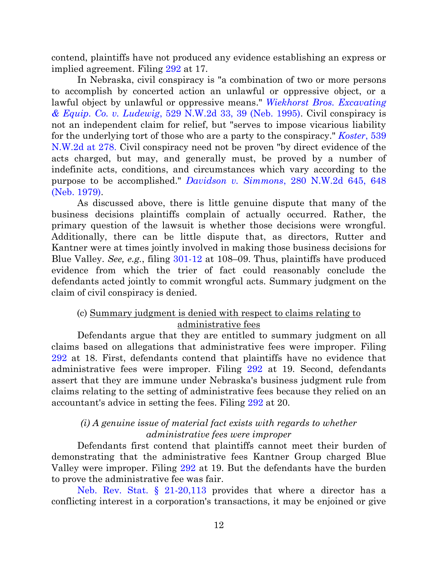contend, plaintiffs have not produced any evidence establishing an express or implied agreement. Filing [292](https://ecf.ned.uscourts.gov/doc1/11313287471) at 17.

In Nebraska, civil conspiracy is "a combination of two or more persons to accomplish by concerted action an unlawful or oppressive object, or a lawful object by unlawful or oppressive means." *[Wiekhorst Bros. Excavating](https://a.next.westlaw.com/Link/Document/FullText?findType=Y&serNum=1995065797&pubNum=595&originatingDoc=I8790762a038b11da83e7e9deff98dc6f&refType=RP&originationContext=document&transitionType=DocumentItem&contextData=%28sc.History*oc.UserEnteredCitation%29#co_pp_sp_595_39)  & Equip. Co. v. Ludewig*[, 529 N.W.2d 33, 39 \(Neb. 1995\).](https://a.next.westlaw.com/Link/Document/FullText?findType=Y&serNum=1995065797&pubNum=595&originatingDoc=I8790762a038b11da83e7e9deff98dc6f&refType=RP&originationContext=document&transitionType=DocumentItem&contextData=%28sc.History*oc.UserEnteredCitation%29#co_pp_sp_595_39) Civil conspiracy is not an independent claim for relief, but "serves to impose vicarious liability for the underlying tort of those who are a party to the conspiracy." *[Koster](https://a.next.westlaw.com/Link/Document/FullText?findType=Y&serNum=1995222907&pubNum=0000595&originatingDoc=I1e38bd74ff2811d983e7e9deff98dc6f&refType=RP&originationContext=document&transitionType=DocumentItem&contextData=%28sc.UserEnteredCitation%29#co_pp_sp_595_278)*, 539 [N.W.2d at 278.](https://a.next.westlaw.com/Link/Document/FullText?findType=Y&serNum=1995222907&pubNum=0000595&originatingDoc=I1e38bd74ff2811d983e7e9deff98dc6f&refType=RP&originationContext=document&transitionType=DocumentItem&contextData=%28sc.UserEnteredCitation%29#co_pp_sp_595_278) Civil conspiracy need not be proven "by direct evidence of the acts charged, but may, and generally must, be proved by a number of indefinite acts, conditions, and circumstances which vary according to the purpose to be accomplished." *Davidson v. Simmons*[, 280 N.W.2d 645, 648](https://a.next.westlaw.com/Link/Document/FullText?findType=Y&serNum=1979122438&pubNum=595&originatingDoc=I8790762a038b11da83e7e9deff98dc6f&refType=RP&originationContext=document&transitionType=DocumentItem&contextData=%28sc.History*oc.UserEnteredCitation%29#co_pp_sp_595_648)  [\(Neb. 1979\).](https://a.next.westlaw.com/Link/Document/FullText?findType=Y&serNum=1979122438&pubNum=595&originatingDoc=I8790762a038b11da83e7e9deff98dc6f&refType=RP&originationContext=document&transitionType=DocumentItem&contextData=%28sc.History*oc.UserEnteredCitation%29#co_pp_sp_595_648)

As discussed above, there is little genuine dispute that many of the business decisions plaintiffs complain of actually occurred. Rather, the primary question of the lawsuit is whether those decisions were wrongful. Additionally, there can be little dispute that, as directors, Rutter and Kantner were at times jointly involved in making those business decisions for Blue Valley. *See, e.g.*, filing [301-12](https://ecf.ned.uscourts.gov/doc1/11313296604) at 108–09. Thus, plaintiffs have produced evidence from which the trier of fact could reasonably conclude the defendants acted jointly to commit wrongful acts. Summary judgment on the claim of civil conspiracy is denied.

# (c) Summary judgment is denied with respect to claims relating to administrative fees

Defendants argue that they are entitled to summary judgment on all claims based on allegations that administrative fees were improper. Filing [292](https://ecf.ned.uscourts.gov/doc1/11313287471) at 18. First, defendants contend that plaintiffs have no evidence that administrative fees were improper. Filing [292](https://ecf.ned.uscourts.gov/doc1/11313287471) at 19. Second, defendants assert that they are immune under Nebraska's business judgment rule from claims relating to the setting of administrative fees because they relied on an accountant's advice in setting the fees. Filing [292](https://ecf.ned.uscourts.gov/doc1/11313287471) at 20.

## *(i) A genuine issue of material fact exists with regards to whether administrative fees were improper*

Defendants first contend that plaintiffs cannot meet their burden of demonstrating that the administrative fees Kantner Group charged Blue Valley were improper. Filing [292](https://ecf.ned.uscourts.gov/doc1/11313287471) at 19. But the defendants have the burden to prove the administrative fee was fair.

[Neb. Rev. Stat. § 21-20,113](https://a.next.westlaw.com/Document/N46D67CC0AEBC11DEA0C8A10D09B7A847/View/FullText.html?transitionType=UniqueDocItem&contextData=%28sc.UserEnteredCitation%29&userEnteredCitation=Neb.+Rev.+Stat.+21-20%2c113) provides that where a director has a conflicting interest in a corporation's transactions, it may be enjoined or give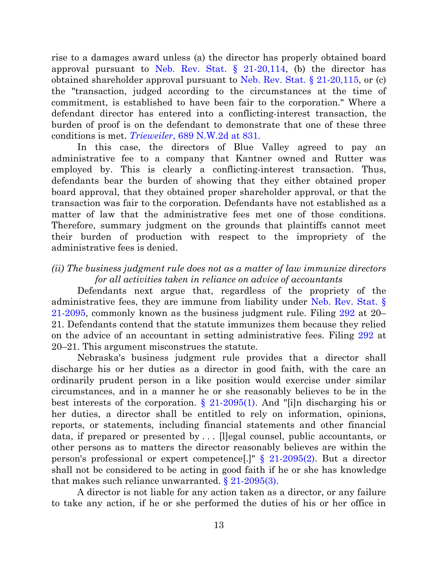rise to a damages award unless (a) the director has properly obtained board approval pursuant to Neb. Rev. Stat.  $\S$  21-20,114, (b) the director has obtained shareholder approval pursuant to [Neb. Rev. Stat. § 21-20,115,](https://a.next.westlaw.com/Document/N47094C90AEBC11DEA0C8A10D09B7A847/View/FullText.html?originationContext=previousnextsection&contextData=(sc.Document)&transitionType=StatuteNavigator&needToInjectTerms=False&firstPage=true) or (c) the "transaction, judged according to the circumstances at the time of commitment, is established to have been fair to the corporation." Where a defendant director has entered into a conflicting-interest transaction, the burden of proof is on the defendant to demonstrate that one of these three conditions is met. *Trieweiler*[, 689 N.W.2d at 831.](https://a.next.westlaw.com/Document/I872b672eff7711d9bf60c1d57ebc853e/View/FullText.html?transitionType=UniqueDocItem&contextData=%28sc.UserEnteredCitation%29&userEnteredCitation=689+N.W.2d+807)

In this case, the directors of Blue Valley agreed to pay an administrative fee to a company that Kantner owned and Rutter was employed by. This is clearly a conflicting-interest transaction. Thus, defendants bear the burden of showing that they either obtained proper board approval, that they obtained proper shareholder approval, or that the transaction was fair to the corporation. Defendants have not established as a matter of law that the administrative fees met one of those conditions. Therefore, summary judgment on the grounds that plaintiffs cannot meet their burden of production with respect to the impropriety of the administrative fees is denied.

## *(ii) The business judgment rule does not as a matter of law immunize directors for all activities taken in reliance on advice of accountants*

Defendants next argue that, regardless of the propriety of the administrative fees, they are immune from liability under [Neb. Rev. Stat. §](https://a.next.westlaw.com/Document/N41851920AEBC11DEA0C8A10D09B7A847/View/FullText.html?transitionType=UniqueDocItem&contextData=%28sc.History*oc.UserEnteredCitation%29&userEnteredCitation=neb+rev+stat+21-2095)  [21-2095,](https://a.next.westlaw.com/Document/N41851920AEBC11DEA0C8A10D09B7A847/View/FullText.html?transitionType=UniqueDocItem&contextData=%28sc.History*oc.UserEnteredCitation%29&userEnteredCitation=neb+rev+stat+21-2095) commonly known as the business judgment rule. Filing [292](https://ecf.ned.uscourts.gov/doc1/11313287471) at 20– 21. Defendants contend that the statute immunizes them because they relied on the advice of an accountant in setting administrative fees. Filing [292](https://ecf.ned.uscourts.gov/doc1/11313287471) at 20–21. This argument misconstrues the statute.

Nebraska's business judgment rule provides that a director shall discharge his or her duties as a director in good faith, with the care an ordinarily prudent person in a like position would exercise under similar circumstances, and in a manner he or she reasonably believes to be in the best interests of the corporation. [§ 21-2095\(](https://a.next.westlaw.com/Document/N41851920AEBC11DEA0C8A10D09B7A847/View/FullText.html?transitionType=UniqueDocItem&contextData=%28sc.History*oc.UserEnteredCitation%29&userEnteredCitation=neb+rev+stat+21-2095)1). And "[i]n discharging his or her duties, a director shall be entitled to rely on information, opinions, reports, or statements, including financial statements and other financial data, if prepared or presented by . . . [l]egal counsel, public accountants, or other persons as to matters the director reasonably believes are within the person's professional or expert competence.<sup>[1]</sup>  $\frac{1}{2}$  21-2095(2). But a director shall not be considered to be acting in good faith if he or she has knowledge that makes such reliance unwarranted.  $\S 21-2095(3)$ .

A director is not liable for any action taken as a director, or any failure to take any action, if he or she performed the duties of his or her office in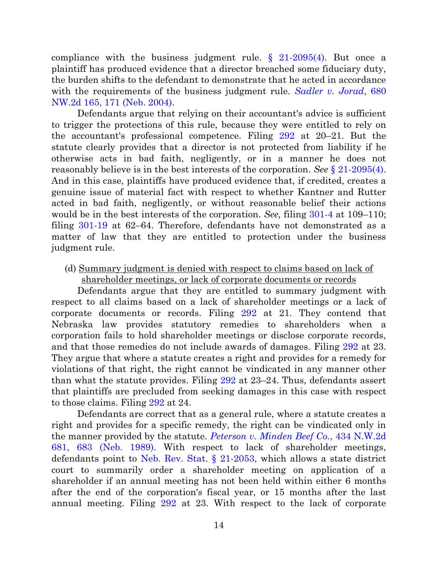compliance with the business judgment rule. [§ 21-2095\(](https://a.next.westlaw.com/Document/N41851920AEBC11DEA0C8A10D09B7A847/View/FullText.html?transitionType=UniqueDocItem&contextData=%28sc.History*oc.UserEnteredCitation%29&userEnteredCitation=neb+rev+stat+21-2095)4). But once a plaintiff has produced evidence that a director breached some fiduciary duty, the burden shifts to the defendant to demonstrate that he acted in accordance with the requirements of the business judgment rule. *[Sadler v. Jorad](https://a.next.westlaw.com/Document/Ia149cab9ff7311d983e7e9deff98dc6f/View/FullText.html?transitionType=UniqueDocItem&contextData=(sc.UserEnteredCitation)&userEnteredCitation=680+n.w.2d+165)*, 680 [NW.2d 165, 171 \(Neb. 2004\).](https://a.next.westlaw.com/Document/Ia149cab9ff7311d983e7e9deff98dc6f/View/FullText.html?transitionType=UniqueDocItem&contextData=(sc.UserEnteredCitation)&userEnteredCitation=680+n.w.2d+165)

Defendants argue that relying on their accountant's advice is sufficient to trigger the protections of this rule, because they were entitled to rely on the accountant's professional competence. Filing [292](https://ecf.ned.uscourts.gov/doc1/11313287471) at 20–21. But the statute clearly provides that a director is not protected from liability if he otherwise acts in bad faith, negligently, or in a manner he does not reasonably believe is in the best interests of the corporation. *See* [§ 21-2095\(4\).](https://a.next.westlaw.com/Document/N41851920AEBC11DEA0C8A10D09B7A847/View/FullText.html?transitionType=UniqueDocItem&contextData=%28sc.History*oc.UserEnteredCitation%29&userEnteredCitation=neb+rev+stat+21-2095) And in this case, plaintiffs have produced evidence that, if credited, creates a genuine issue of material fact with respect to whether Kantner and Rutter acted in bad faith, negligently, or without reasonable belief their actions would be in the best interests of the corporation. *See,* filing [301-4](https://ecf.ned.uscourts.gov/doc1/11313296596) at 109–110; filing [301-19](https://ecf.ned.uscourts.gov/doc1/11313296611) at 62–64. Therefore, defendants have not demonstrated as a matter of law that they are entitled to protection under the business judgment rule.

(d) Summary judgment is denied with respect to claims based on lack of shareholder meetings, or lack of corporate documents or records

Defendants argue that they are entitled to summary judgment with respect to all claims based on a lack of shareholder meetings or a lack of corporate documents or records. Filing [292](https://ecf.ned.uscourts.gov/doc1/11313287471) at 21. They contend that Nebraska law provides statutory remedies to shareholders when a corporation fails to hold shareholder meetings or disclose corporate records, and that those remedies do not include awards of damages. Filing [292](https://ecf.ned.uscourts.gov/doc1/11313287471) at 23. They argue that where a statute creates a right and provides for a remedy for violations of that right, the right cannot be vindicated in any manner other than what the statute provides. Filing [292](https://ecf.ned.uscourts.gov/doc1/11313287471) at 23–24. Thus, defendants assert that plaintiffs are precluded from seeking damages in this case with respect to those claims. Filing [292](https://ecf.ned.uscourts.gov/doc1/11313287471) at 24.

Defendants are correct that as a general rule, where a statute creates a right and provides for a specific remedy, the right can be vindicated only in the manner provided by the statute. *[Peterson v. Minden Beef Co.](https://a.next.westlaw.com/Document/Ia4c18f9dfeb311d9b386b232635db992/View/FullText.html?transitionType=UniqueDocItem&contextData=%28sc.UserEnteredCitation%29&userEnteredCitation=434+N.W.2d+681)*, 434 N.W.2d 681, 683 [\(Neb. 1989\).](https://a.next.westlaw.com/Document/Ia4c18f9dfeb311d9b386b232635db992/View/FullText.html?transitionType=UniqueDocItem&contextData=%28sc.UserEnteredCitation%29&userEnteredCitation=434+N.W.2d+681) With respect to lack of shareholder meetings, defendants point to [Neb. Rev. Stat. § 21-2053,](https://a.next.westlaw.com/Document/N331914E0AEBC11DEA0C8A10D09B7A847/View/FullText.html?transitionType=UniqueDocItem&contextData=%28sc.Default%29&userEnteredCitation=Neb.+Rev.+Stat.+%C2%A7+21-2053) which allows a state district court to summarily order a shareholder meeting on application of a shareholder if an annual meeting has not been held within either 6 months after the end of the corporation's fiscal year, or 15 months after the last annual meeting. Filing [292](https://ecf.ned.uscourts.gov/doc1/11313287471) at 23. With respect to the lack of corporate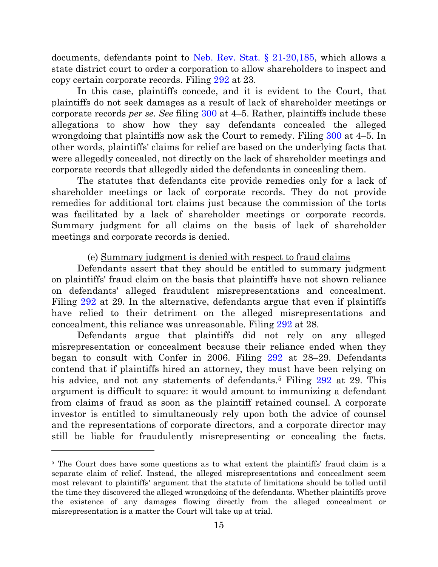documents, defendants point to [Neb. Rev. Stat. § 21-20,185,](https://a.next.westlaw.com/Document/N5C7AF420AEBC11DEA0C8A10D09B7A847/View/FullText.html?transitionType=UniqueDocItem&contextData=%28sc.UserEnteredCitation%29&userEnteredCitation=Neb.+Rev.+Stat.+%C2%A7+21-20%2c185) which allows a state district court to order a corporation to allow shareholders to inspect and copy certain corporate records. Filing [292](https://ecf.ned.uscourts.gov/doc1/11313287471) at 23.

In this case, plaintiffs concede, and it is evident to the Court, that plaintiffs do not seek damages as a result of lack of shareholder meetings or corporate records *per se*. *See* filing [300](https://ecf.ned.uscourts.gov/doc1/11313296583) at 4–5. Rather, plaintiffs include these allegations to show how they say defendants concealed the alleged wrongdoing that plaintiffs now ask the Court to remedy. Filing [300](https://ecf.ned.uscourts.gov/doc1/11313296583) at 4–5. In other words, plaintiffs' claims for relief are based on the underlying facts that were allegedly concealed, not directly on the lack of shareholder meetings and corporate records that allegedly aided the defendants in concealing them.

The statutes that defendants cite provide remedies only for a lack of shareholder meetings or lack of corporate records. They do not provide remedies for additional tort claims just because the commission of the torts was facilitated by a lack of shareholder meetings or corporate records. Summary judgment for all claims on the basis of lack of shareholder meetings and corporate records is denied.

## (e) Summary judgment is denied with respect to fraud claims

Defendants assert that they should be entitled to summary judgment on plaintiffs' fraud claim on the basis that plaintiffs have not shown reliance on defendants' alleged fraudulent misrepresentations and concealment. Filing [292](https://ecf.ned.uscourts.gov/doc1/11313287471) at 29. In the alternative, defendants argue that even if plaintiffs have relied to their detriment on the alleged misrepresentations and concealment, this reliance was unreasonable. Filing [292](https://ecf.ned.uscourts.gov/doc1/11313287471) at 28.

Defendants argue that plaintiffs did not rely on any alleged misrepresentation or concealment because their reliance ended when they began to consult with Confer in 2006. Filing [292](https://ecf.ned.uscourts.gov/doc1/11313287471) at 28–29. Defendants contend that if plaintiffs hired an attorney, they must have been relying on his advice, and not any statements of defendants.<sup>5</sup> Filing [292](https://ecf.ned.uscourts.gov/doc1/11313287471) at 29. This argument is difficult to square: it would amount to immunizing a defendant from claims of fraud as soon as the plaintiff retained counsel. A corporate investor is entitled to simultaneously rely upon both the advice of counsel and the representations of corporate directors, and a corporate director may still be liable for fraudulently misrepresenting or concealing the facts.

<sup>&</sup>lt;sup>5</sup> The Court does have some questions as to what extent the plaintiffs' fraud claim is a separate claim of relief. Instead, the alleged misrepresentations and concealment seem most relevant to plaintiffs' argument that the statute of limitations should be tolled until the time they discovered the alleged wrongdoing of the defendants. Whether plaintiffs prove the existence of any damages flowing directly from the alleged concealment or misrepresentation is a matter the Court will take up at trial.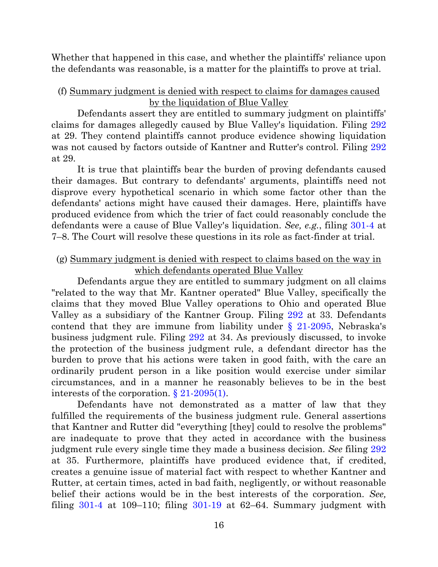Whether that happened in this case, and whether the plaintiffs' reliance upon the defendants was reasonable, is a matter for the plaintiffs to prove at trial.

### (f) Summary judgment is denied with respect to claims for damages caused by the liquidation of Blue Valley

Defendants assert they are entitled to summary judgment on plaintiffs' claims for damages allegedly caused by Blue Valley's liquidation. Filing [292](https://ecf.ned.uscourts.gov/doc1/11313287471) at 29. They contend plaintiffs cannot produce evidence showing liquidation was not caused by factors outside of Kantner and Rutter's control. Filing [292](https://ecf.ned.uscourts.gov/doc1/11313287471) at 29.

It is true that plaintiffs bear the burden of proving defendants caused their damages. But contrary to defendants' arguments, plaintiffs need not disprove every hypothetical scenario in which some factor other than the defendants' actions might have caused their damages. Here, plaintiffs have produced evidence from which the trier of fact could reasonably conclude the defendants were a cause of Blue Valley's liquidation. *See, e.g.*, filing [301-4](https://ecf.ned.uscourts.gov/doc1/11313296596) at 7–8. The Court will resolve these questions in its role as fact-finder at trial.

### (g) Summary judgment is denied with respect to claims based on the way in which defendants operated Blue Valley

Defendants argue they are entitled to summary judgment on all claims "related to the way that Mr. Kantner operated" Blue Valley, specifically the claims that they moved Blue Valley operations to Ohio and operated Blue Valley as a subsidiary of the Kantner Group. Filing [292](https://ecf.ned.uscourts.gov/doc1/11313287471) at 33. Defendants contend that they are immune from liability under  $\S$  21-2095, Nebraska's business judgment rule. Filing [292](https://ecf.ned.uscourts.gov/doc1/11313287471) at 34. As previously discussed, to invoke the protection of the business judgment rule, a defendant director has the burden to prove that his actions were taken in good faith, with the care an ordinarily prudent person in a like position would exercise under similar circumstances, and in a manner he reasonably believes to be in the best interests of the corporation. [§ 21-2095\(](https://a.next.westlaw.com/Document/N41851920AEBC11DEA0C8A10D09B7A847/View/FullText.html?transitionType=UniqueDocItem&contextData=%28sc.History*oc.UserEnteredCitation%29&userEnteredCitation=neb+rev+stat+21-2095)1).

Defendants have not demonstrated as a matter of law that they fulfilled the requirements of the business judgment rule. General assertions that Kantner and Rutter did "everything [they] could to resolve the problems" are inadequate to prove that they acted in accordance with the business judgment rule every single time they made a business decision. *See* filing [292](https://ecf.ned.uscourts.gov/doc1/11313287471) at 35. Furthermore, plaintiffs have produced evidence that, if credited, creates a genuine issue of material fact with respect to whether Kantner and Rutter, at certain times, acted in bad faith, negligently, or without reasonable belief their actions would be in the best interests of the corporation. *See,* filing  $301-4$  at  $109-110$ ; filing  $301-19$  at  $62-64$ . Summary judgment with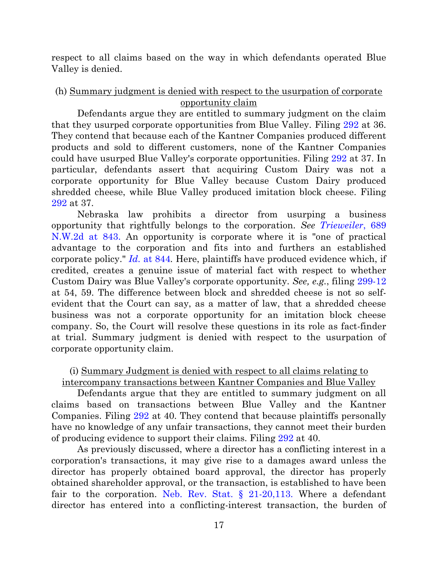respect to all claims based on the way in which defendants operated Blue Valley is denied.

## (h) Summary judgment is denied with respect to the usurpation of corporate opportunity claim

Defendants argue they are entitled to summary judgment on the claim that they usurped corporate opportunities from Blue Valley. Filing [292](https://ecf.ned.uscourts.gov/doc1/11313287471) at 36. They contend that because each of the Kantner Companies produced different products and sold to different customers, none of the Kantner Companies could have usurped Blue Valley's corporate opportunities. Filing [292](https://ecf.ned.uscourts.gov/doc1/11313287471) at 37. In particular, defendants assert that acquiring Custom Dairy was not a corporate opportunity for Blue Valley because Custom Dairy produced shredded cheese, while Blue Valley produced imitation block cheese. Filing [292](https://ecf.ned.uscourts.gov/doc1/11313287471) at 37.

Nebraska law prohibits a director from usurping a business opportunity that rightfully belongs to the corporation. *See [Trieweiler](https://a.next.westlaw.com/Document/I872b672eff7711d9bf60c1d57ebc853e/View/FullText.html?transitionType=UniqueDocItem&contextData=%28sc.UserEnteredCitation%29&userEnteredCitation=689+N.W.2d+807)*, 689 [N.W.2d at 843.](https://a.next.westlaw.com/Document/I872b672eff7711d9bf60c1d57ebc853e/View/FullText.html?transitionType=UniqueDocItem&contextData=%28sc.UserEnteredCitation%29&userEnteredCitation=689+N.W.2d+807) An opportunity is corporate where it is "one of practical advantage to the corporation and fits into and furthers an established corporate policy." *[Id.](https://a.next.westlaw.com/Document/I872b672eff7711d9bf60c1d57ebc853e/View/FullText.html?transitionType=UniqueDocItem&contextData=%28sc.UserEnteredCitation%29&userEnteredCitation=689+N.W.2d+807)* at 844*.* Here, plaintiffs have produced evidence which, if credited, creates a genuine issue of material fact with respect to whether Custom Dairy was Blue Valley's corporate opportunity. *See, e.g.*, filing [299-12](https://ecf.ned.uscourts.gov/doc1/11313296546) at 54, 59. The difference between block and shredded cheese is not so selfevident that the Court can say, as a matter of law, that a shredded cheese business was not a corporate opportunity for an imitation block cheese company. So, the Court will resolve these questions in its role as fact-finder at trial. Summary judgment is denied with respect to the usurpation of corporate opportunity claim.

# (i) Summary Judgment is denied with respect to all claims relating to intercompany transactions between Kantner Companies and Blue Valley

Defendants argue that they are entitled to summary judgment on all claims based on transactions between Blue Valley and the Kantner Companies. Filing [292](https://ecf.ned.uscourts.gov/doc1/11313287471) at 40. They contend that because plaintiffs personally have no knowledge of any unfair transactions, they cannot meet their burden of producing evidence to support their claims. Filing [292](https://ecf.ned.uscourts.gov/doc1/11313287471) at 40.

As previously discussed, where a director has a conflicting interest in a corporation's transactions, it may give rise to a damages award unless the director has properly obtained board approval, the director has properly obtained shareholder approval, or the transaction, is established to have been fair to the corporation. Neb. Rev. Stat.  $\S$  21-20,113. Where a defendant director has entered into a conflicting-interest transaction, the burden of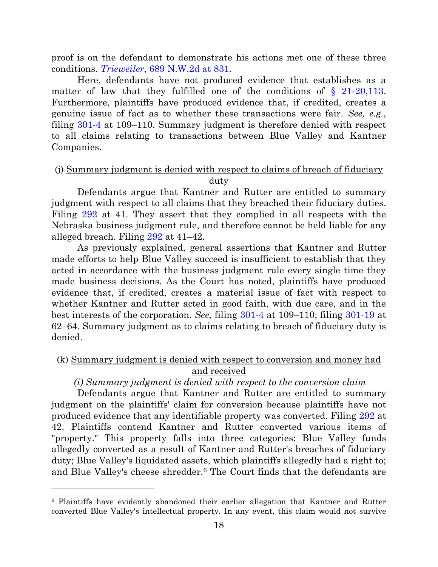proof is on the defendant to demonstrate his actions met one of these three conditions. *Trieweiler*[, 689 N.W.2d at 831.](https://a.next.westlaw.com/Document/I872b672eff7711d9bf60c1d57ebc853e/View/FullText.html?transitionType=UniqueDocItem&contextData=%28sc.UserEnteredCitation%29&userEnteredCitation=689+N.W.2d+807)

Here, defendants have not produced evidence that establishes as a matter of law that they fulfilled one of the conditions of  $\S$  21-20,113. Furthermore, plaintiffs have produced evidence that, if credited, creates a genuine issue of fact as to whether these transactions were fair. *See, e.g.*, filing [301-4](https://ecf.ned.uscourts.gov/doc1/11313296596) at 109–110. Summary judgment is therefore denied with respect to all claims relating to transactions between Blue Valley and Kantner Companies.

### (j) Summary judgment is denied with respect to claims of breach of fiduciary duty

Defendants argue that Kantner and Rutter are entitled to summary judgment with respect to all claims that they breached their fiduciary duties. Filing [292](https://ecf.ned.uscourts.gov/doc1/11313287471) at 41. They assert that they complied in all respects with the Nebraska business judgment rule, and therefore cannot be held liable for any alleged breach. Filing [292](https://ecf.ned.uscourts.gov/doc1/11313287471) at 41–42.

As previously explained, general assertions that Kantner and Rutter made efforts to help Blue Valley succeed is insufficient to establish that they acted in accordance with the business judgment rule every single time they made business decisions. As the Court has noted, plaintiffs have produced evidence that, if credited, creates a material issue of fact with respect to whether Kantner and Rutter acted in good faith, with due care, and in the best interests of the corporation. *See,* filing [301-4](https://ecf.ned.uscourts.gov/doc1/11313296596) at 109–110; filing [301-19](https://ecf.ned.uscourts.gov/doc1/11313296611) at 62–64. Summary judgment as to claims relating to breach of fiduciary duty is denied.

## (k) Summary judgment is denied with respect to conversion and money had and received

### *(i) Summary judgment is denied with respect to the conversion claim*

Defendants argue that Kantner and Rutter are entitled to summary judgment on the plaintiffs' claim for conversion because plaintiffs have not produced evidence that any identifiable property was converted. Filing [292](https://ecf.ned.uscourts.gov/doc1/11313287471) at 42. Plaintiffs contend Kantner and Rutter converted various items of "property." This property falls into three categories: Blue Valley funds allegedly converted as a result of Kantner and Rutter's breaches of fiduciary duty; Blue Valley's liquidated assets, which plaintiffs allegedly had a right to; and Blue Valley's cheese shredder.<sup>6</sup> The Court finds that the defendants are

<sup>6</sup> Plaintiffs have evidently abandoned their earlier allegation that Kantner and Rutter converted Blue Valley's intellectual property. In any event, this claim would not survive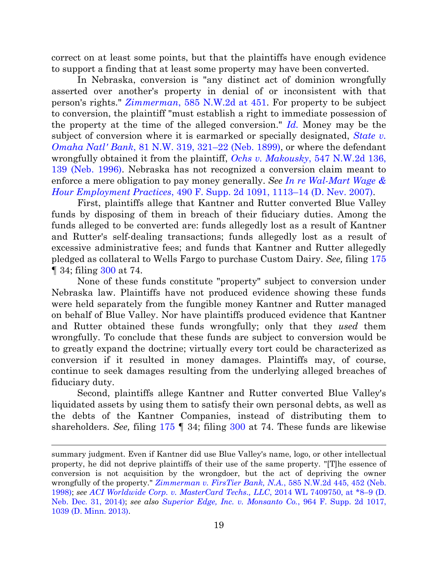correct on at least some points, but that the plaintiffs have enough evidence to support a finding that at least some property may have been converted.

In Nebraska, conversion is "any distinct act of dominion wrongfully asserted over another's property in denial of or inconsistent with that person's rights." *Zimmerman*[, 585 N.W.2d at 451](https://a.next.westlaw.com/Document/I794ed9e0ff4411d99439b076ef9ec4de/View/FullText.html?transitionType=UniqueDocItem&contextData=%28sc.Default%29&userEnteredCitation=585+nw2d+452#co_pp_sp_595_452). For property to be subject to conversion, the plaintiff "must establish a right to immediate possession of the property at the time of the alleged conversion." *[Id.](https://a.next.westlaw.com/Document/I794ed9e0ff4411d99439b076ef9ec4de/View/FullText.html?transitionType=UniqueDocItem&contextData=%28sc.Default%29&userEnteredCitation=585+nw2d+452#co_pp_sp_595_452)* Money may be the subject of conversion where it is earmarked or specially designated, *[State v.](https://a.next.westlaw.com/Document/I36b2169b007711dab386b232635db992/View/FullText.html?transitionType=UniqueDocItem&contextData=%28sc.Default%29&userEnteredCitation=81+N.W.+319)  [Omaha Natl' Bank](https://a.next.westlaw.com/Document/I36b2169b007711dab386b232635db992/View/FullText.html?transitionType=UniqueDocItem&contextData=%28sc.Default%29&userEnteredCitation=81+N.W.+319)*, 81 N.W. 319, 321–22 (Neb. 1899), or where the defendant wrongfully obtained it from the plaintiff, *Ochs v. Makousky*[, 547 N.W.2d 136,](https://a.next.westlaw.com/Document/I8a2a7dbaff7411d9b386b232635db992/View/FullText.html?transitionType=UniqueDocItem&contextData=%28sc.UserEnteredCitation%29&userEnteredCitation=547+nw2d+136)  [139 \(Neb. 1996\).](https://a.next.westlaw.com/Document/I8a2a7dbaff7411d9b386b232635db992/View/FullText.html?transitionType=UniqueDocItem&contextData=%28sc.UserEnteredCitation%29&userEnteredCitation=547+nw2d+136) Nebraska has not recognized a conversion claim meant to enforce a mere obligation to pay money generally. *See [In re Wal-Mart Wage &](https://a.next.westlaw.com/Document/I6276a6d80b4e11dcaba8d9d29eb57eff/View/FullText.html?transitionType=UniqueDocItem&contextData=%28sc.Search%29&userEnteredCitation=490+F.Supp.2d+1091)  [Hour Employment Practices](https://a.next.westlaw.com/Document/I6276a6d80b4e11dcaba8d9d29eb57eff/View/FullText.html?transitionType=UniqueDocItem&contextData=%28sc.Search%29&userEnteredCitation=490+F.Supp.2d+1091)*, 490 F. Supp. 2d 1091, 1113–14 (D. Nev. 2007).

First, plaintiffs allege that Kantner and Rutter converted Blue Valley funds by disposing of them in breach of their fiduciary duties. Among the funds alleged to be converted are: funds allegedly lost as a result of Kantner and Rutter's self-dealing transactions; funds allegedly lost as a result of excessive administrative fees; and funds that Kantner and Rutter allegedly pledged as collateral to Wells Fargo to purchase Custom Dairy. *See,* filing [175](https://ecf.ned.uscourts.gov/doc1/11303065775) ¶ 34; filing [300](https://ecf.ned.uscourts.gov/doc1/11313296583) at 74.

None of these funds constitute "property" subject to conversion under Nebraska law. Plaintiffs have not produced evidence showing these funds were held separately from the fungible money Kantner and Rutter managed on behalf of Blue Valley. Nor have plaintiffs produced evidence that Kantner and Rutter obtained these funds wrongfully; only that they *used* them wrongfully. To conclude that these funds are subject to conversion would be to greatly expand the doctrine; virtually every tort could be characterized as conversion if it resulted in money damages. Plaintiffs may, of course, continue to seek damages resulting from the underlying alleged breaches of fiduciary duty.

Second, plaintiffs allege Kantner and Rutter converted Blue Valley's liquidated assets by using them to satisfy their own personal debts, as well as the debts of the Kantner Companies, instead of distributing them to shareholders. *See,* filing [175](https://ecf.ned.uscourts.gov/doc1/11303065775) ¶ 34; filing [300](https://ecf.ned.uscourts.gov/doc1/11313296583) at 74. These funds are likewise

summary judgment. Even if Kantner did use Blue Valley's name, logo, or other intellectual property, he did not deprive plaintiffs of their use of the same property. "[T]he essence of conversion is not acquisition by the wrongdoer, but the act of depriving the owner wrongfully of the property." *[Zimmerman v. FirsTier Bank, N.A.](https://a.next.westlaw.com/Document/I794ed9e0ff4411d99439b076ef9ec4de/View/FullText.html?transitionType=UniqueDocItem&contextData=%28sc.Default%29&userEnteredCitation=585+nw2d+452#co_pp_sp_595_452)*, 585 N.W.2d 445, 452 (Neb. [1998\);](https://a.next.westlaw.com/Document/I794ed9e0ff4411d99439b076ef9ec4de/View/FullText.html?transitionType=UniqueDocItem&contextData=%28sc.Default%29&userEnteredCitation=585+nw2d+452#co_pp_sp_595_452) *see [ACI Worldwide Corp. v. MasterCard Techs., LLC](https://a.next.westlaw.com/Document/I7c03fbc5935011e490d4edf60ce7d742/View/FullText.html?transitionType=UniqueDocItem&contextData=%28sc.Search%29&userEnteredCitation=2014+WL+7409750)*, 2014 WL 7409750, at \*8–9 (D. [Neb. Dec. 31, 2014\);](https://a.next.westlaw.com/Document/I7c03fbc5935011e490d4edf60ce7d742/View/FullText.html?transitionType=UniqueDocItem&contextData=%28sc.Search%29&userEnteredCitation=2014+WL+7409750) *see also [Superior Edge, Inc. v. Monsanto Co.](https://a.next.westlaw.com/Document/I45d2bba103d611e3a555d241dae65084/View/FullText.html?transitionType=UniqueDocItem&contextData=%28sc.UserEnteredCitation%29&userEnteredCitation=964+F.+Supp.+2d+1017)*, 964 F. Supp. 2d 1017, [1039 \(D. Minn. 2013\).](https://a.next.westlaw.com/Document/I45d2bba103d611e3a555d241dae65084/View/FullText.html?transitionType=UniqueDocItem&contextData=%28sc.UserEnteredCitation%29&userEnteredCitation=964+F.+Supp.+2d+1017)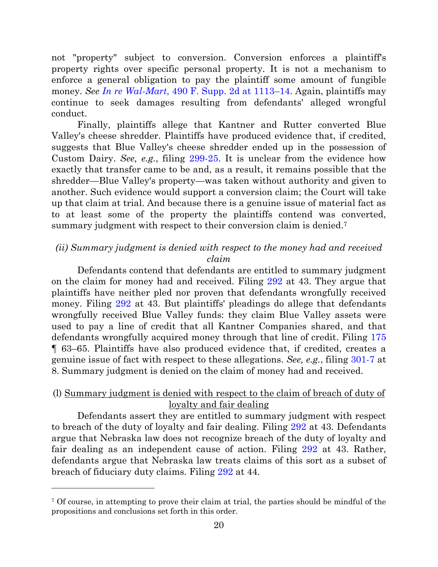not "property" subject to conversion. Conversion enforces a plaintiff's property rights over specific personal property. It is not a mechanism to enforce a general obligation to pay the plaintiff some amount of fungible money. *See [In re Wal-Mart](https://a.next.westlaw.com/Document/I6276a6d80b4e11dcaba8d9d29eb57eff/View/FullText.html?transitionType=UniqueDocItem&contextData=%28sc.Search%29&userEnteredCitation=490+F.Supp.2d+1091)*, 490 F. Supp. 2d at 1113–14. Again, plaintiffs may continue to seek damages resulting from defendants' alleged wrongful conduct.

Finally, plaintiffs allege that Kantner and Rutter converted Blue Valley's cheese shredder. Plaintiffs have produced evidence that, if credited, suggests that Blue Valley's cheese shredder ended up in the possession of Custom Dairy. *See, e.g.*, filing [299-25.](https://ecf.ned.uscourts.gov/doc1/11313296559) It is unclear from the evidence how exactly that transfer came to be and, as a result, it remains possible that the shredder—Blue Valley's property—was taken without authority and given to another. Such evidence would support a conversion claim; the Court will take up that claim at trial. And because there is a genuine issue of material fact as to at least some of the property the plaintiffs contend was converted, summary judgment with respect to their conversion claim is denied.<sup>7</sup>

# *(ii) Summary judgment is denied with respect to the money had and received claim*

Defendants contend that defendants are entitled to summary judgment on the claim for money had and received. Filing [292](https://ecf.ned.uscourts.gov/doc1/11313287471) at 43. They argue that plaintiffs have neither pled nor proven that defendants wrongfully received money. Filing [292](https://ecf.ned.uscourts.gov/doc1/11313287471) at 43. But plaintiffs' pleadings do allege that defendants wrongfully received Blue Valley funds: they claim Blue Valley assets were used to pay a line of credit that all Kantner Companies shared, and that defendants wrongfully acquired money through that line of credit. Filing [175](https://ecf.ned.uscourts.gov/doc1/11303065775) ¶ 63–65. Plaintiffs have also produced evidence that, if credited, creates a genuine issue of fact with respect to these allegations. *See, e.g.*, filing [301-7](https://ecf.ned.uscourts.gov/doc1/11313296599) at 8. Summary judgment is denied on the claim of money had and received.

# (l) Summary judgment is denied with respect to the claim of breach of duty of loyalty and fair dealing

Defendants assert they are entitled to summary judgment with respect to breach of the duty of loyalty and fair dealing. Filing [292](https://ecf.ned.uscourts.gov/doc1/11313287471) at 43. Defendants argue that Nebraska law does not recognize breach of the duty of loyalty and fair dealing as an independent cause of action. Filing [292](https://ecf.ned.uscourts.gov/doc1/11313287471) at 43. Rather, defendants argue that Nebraska law treats claims of this sort as a subset of breach of fiduciary duty claims. Filing [292](https://ecf.ned.uscourts.gov/doc1/11313287471) at 44.

<sup>7</sup> Of course, in attempting to prove their claim at trial, the parties should be mindful of the propositions and conclusions set forth in this order.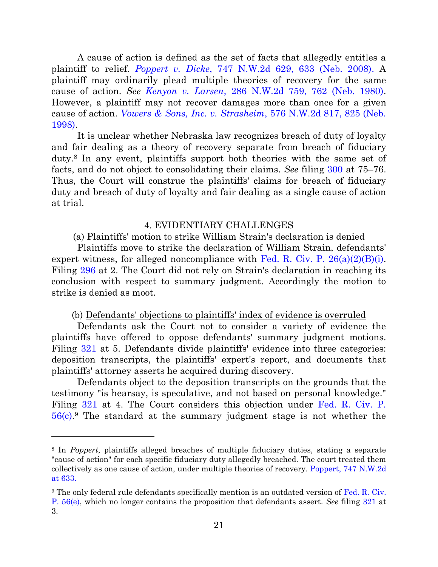A cause of action is defined as the set of facts that allegedly entitles a plaintiff to relief. *Poppert v. Dicke*[, 747 N.W.2d 629, 633 \(Neb. 2008\).](https://a.next.westlaw.com/Document/Ifd62c474152311ddb7e483ba170699a5/View/FullText.html?transitionType=UniqueDocItem&contextData=%28sc.Search%29&userEnteredCitation=747+nw2d+629) A plaintiff may ordinarily plead multiple theories of recovery for the same cause of action. *See Kenyon v. Larsen*[, 286 N.W.2d 759, 762 \(Neb. 1980\).](https://a.next.westlaw.com/Document/If842b831fe9311d983e7e9deff98dc6f/View/FullText.html?navigationPath=Search%2Fv3%2Fsearch%2Fresults%2Fnavigation%2Fi0ad705230000014f855d2dde3875f8f8%3FNav%3DCASE%26fragmentIdentifier%3DIf842b831fe9311d983e7e9deff98dc6f%26startIndex%3D1%26contextData%3D%2528sc.Search%2529%26transitionType%3DSearchItem&listSource=Search&listPageSource=bfeed5534bc37e8a874931fbd1a5f3d1&list=CASE&rank=3&grading=na&sessionScopeId=ccf586184ffd0d55642cd7cb1f86c9e6&originationContext=Search%20Result&transitionType=SearchItem&contextData=%28sc.Search%29) However, a plaintiff may not recover damages more than once for a given cause of action. *[Vowers & Sons, Inc. v. Strasheim](https://a.next.westlaw.com/Document/I89ac86d3ff4211d99439b076ef9ec4de/View/FullText.html?navigationPath=Search%2Fv3%2Fsearch%2Fresults%2Fnavigation%2Fi0ad705230000014f855f36b93875fd6b%3FNav%3DCASE%26fragmentIdentifier%3DI89ac86d3ff4211d99439b076ef9ec4de%26startIndex%3D1%26contextData%3D%2528sc.Search%2529%26transitionType%3DSearchItem&listSource=Search&listPageSource=49de0b5c951478ad140ad9bcdb0a91c7&list=ALL&rank=1&grading=na&sessionScopeId=ccf586184ffd0d55642cd7cb1f86c9e6&originationContext=Search%20Result&transitionType=SearchItem&contextData=%28sc.Search%29)*, 576 N.W.2d 817, 825 (Neb. [1998\).](https://a.next.westlaw.com/Document/I89ac86d3ff4211d99439b076ef9ec4de/View/FullText.html?navigationPath=Search%2Fv3%2Fsearch%2Fresults%2Fnavigation%2Fi0ad705230000014f855f36b93875fd6b%3FNav%3DCASE%26fragmentIdentifier%3DI89ac86d3ff4211d99439b076ef9ec4de%26startIndex%3D1%26contextData%3D%2528sc.Search%2529%26transitionType%3DSearchItem&listSource=Search&listPageSource=49de0b5c951478ad140ad9bcdb0a91c7&list=ALL&rank=1&grading=na&sessionScopeId=ccf586184ffd0d55642cd7cb1f86c9e6&originationContext=Search%20Result&transitionType=SearchItem&contextData=%28sc.Search%29)

It is unclear whether Nebraska law recognizes breach of duty of loyalty and fair dealing as a theory of recovery separate from breach of fiduciary duty.<sup>8</sup> In any event, plaintiffs support both theories with the same set of facts, and do not object to consolidating their claims. *See* filing [300](https://ecf.ned.uscourts.gov/doc1/11313296583) at 75–76. Thus, the Court will construe the plaintiffs' claims for breach of fiduciary duty and breach of duty of loyalty and fair dealing as a single cause of action at trial.

### 4. EVIDENTIARY CHALLENGES

### (a) Plaintiffs' motion to strike William Strain's declaration is denied

Plaintiffs move to strike the declaration of William Strain, defendants' expert witness, for alleged noncompliance with Fed. R. Civ. P.  $26(a)(2)(B)(i)$ . Filing [296](https://ecf.ned.uscourts.gov/doc1/11313293561) at 2. The Court did not rely on Strain's declaration in reaching its conclusion with respect to summary judgment. Accordingly the motion to strike is denied as moot.

#### (b) Defendants' objections to plaintiffs' index of evidence is overruled

Defendants ask the Court not to consider a variety of evidence the plaintiffs have offered to oppose defendants' summary judgment motions. Filing [321](https://ecf.ned.uscourts.gov/doc1/11313306848) at 5. Defendants divide plaintiffs' evidence into three categories: deposition transcripts, the plaintiffs' expert's report, and documents that plaintiffs' attorney asserts he acquired during discovery.

Defendants object to the deposition transcripts on the grounds that the testimony "is hearsay, is speculative, and not based on personal knowledge." Filing [321](https://ecf.ned.uscourts.gov/doc1/11313306848) at 4. The Court considers this objection under [Fed. R. Civ. P.](https://a.next.westlaw.com/Document/N1B4C0B30B96A11D8983DF34406B5929B/View/FullText.html?navigationPath=Search%2Fv3%2Fsearch%2Fresults%2Fnavigation%2Fi0ad6040b0000014f897c563cdbae4c6b%3FNav%3DNONUNIQUECITATION%26fragmentIdentifier%3DN1B4C0B30B96A11D8983DF34406B5929B%26startIndex%3D1%26contextData%3D%2528sc.Search%2529%26transitionType%3DUniqueDocItem&listSource=Search&listPageSource=1bf9a180f428df082686a77689b7260d&list=NONUNIQUECITATION&rank=0&grading=na&sessionScopeId=643eedb31e87437ee44c7707abebc44d&originationContext=NonUniqueFindSelected&transitionType=UniqueDocItem&contextData=%28sc.Search%29)  [56\(c\).](https://a.next.westlaw.com/Document/N1B4C0B30B96A11D8983DF34406B5929B/View/FullText.html?navigationPath=Search%2Fv3%2Fsearch%2Fresults%2Fnavigation%2Fi0ad6040b0000014f897c563cdbae4c6b%3FNav%3DNONUNIQUECITATION%26fragmentIdentifier%3DN1B4C0B30B96A11D8983DF34406B5929B%26startIndex%3D1%26contextData%3D%2528sc.Search%2529%26transitionType%3DUniqueDocItem&listSource=Search&listPageSource=1bf9a180f428df082686a77689b7260d&list=NONUNIQUECITATION&rank=0&grading=na&sessionScopeId=643eedb31e87437ee44c7707abebc44d&originationContext=NonUniqueFindSelected&transitionType=UniqueDocItem&contextData=%28sc.Search%29) <sup>9</sup> The standard at the summary judgment stage is not whether the

<sup>8</sup> In *Poppert*, plaintiffs alleged breaches of multiple fiduciary duties, stating a separate "cause of action" for each specific fiduciary duty allegedly breached. The court treated them collectively as one cause of action, under multiple theories of recovery. [Poppert, 747 N.W.2d](https://a.next.westlaw.com/Document/Ifd62c474152311ddb7e483ba170699a5/View/FullText.html?transitionType=UniqueDocItem&contextData=%28sc.Search%29&userEnteredCitation=747+nw2d+629)  [at 633.](https://a.next.westlaw.com/Document/Ifd62c474152311ddb7e483ba170699a5/View/FullText.html?transitionType=UniqueDocItem&contextData=%28sc.Search%29&userEnteredCitation=747+nw2d+629)

<sup>&</sup>lt;sup>9</sup> The only federal rule defendants specifically mention is an outdated version of Fed. R. Civ. [P. 56\(e\),](https://a.next.westlaw.com/Document/N1B4C0B30B96A11D8983DF34406B5929B/View/FullText.html?navigationPath=Search%2Fv3%2Fsearch%2Fresults%2Fnavigation%2Fi0ad6040b0000014f897c563cdbae4c6b%3FNav%3DNONUNIQUECITATION%26fragmentIdentifier%3DN1B4C0B30B96A11D8983DF34406B5929B%26startIndex%3D1%26contextData%3D%2528sc.Search%2529%26transitionType%3DUniqueDocItem&listSource=Search&listPageSource=1bf9a180f428df082686a77689b7260d&list=NONUNIQUECITATION&rank=0&grading=na&sessionScopeId=643eedb31e87437ee44c7707abebc44d&originationContext=NonUniqueFindSelected&transitionType=UniqueDocItem&contextData=%28sc.Search%29) which no longer contains the proposition that defendants assert. *See* filing [321](https://ecf.ned.uscourts.gov/doc1/11313306848) at 3.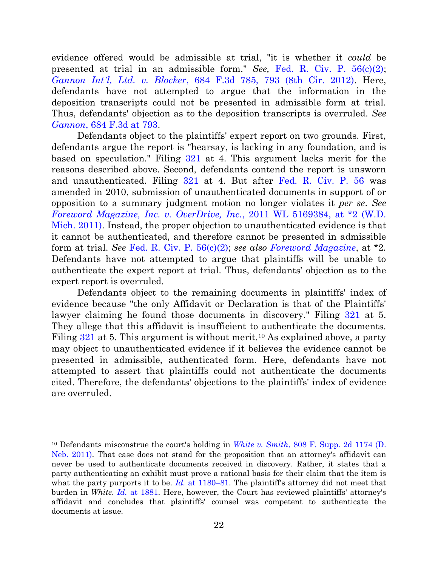evidence offered would be admissible at trial, "it is whether it *could* be presented at trial in an admissible form." *See,* [Fed. R. Civ. P. 56\(c\)\(2\);](https://a.next.westlaw.com/Document/N1B4C0B30B96A11D8983DF34406B5929B/View/FullText.html?navigationPath=Search%2Fv3%2Fsearch%2Fresults%2Fnavigation%2Fi0ad6040b0000014f897c563cdbae4c6b%3FNav%3DNONUNIQUECITATION%26fragmentIdentifier%3DN1B4C0B30B96A11D8983DF34406B5929B%26startIndex%3D1%26contextData%3D%2528sc.Search%2529%26transitionType%3DUniqueDocItem&listSource=Search&listPageSource=1bf9a180f428df082686a77689b7260d&list=NONUNIQUECITATION&rank=0&grading=na&sessionScopeId=643eedb31e87437ee44c7707abebc44d&originationContext=NonUniqueFindSelected&transitionType=UniqueDocItem&contextData=%28sc.Search%29) *Gannon Int'l, Ltd. v. Blocker*[, 684 F.3d 785, 793 \(8th Cir. 2012\).](https://a.next.westlaw.com/Document/I5ea6b2cad01111e1b11ea85d0b248d27/View/FullText.html?navigationPath=%2FFoldering%2Fv4%2FKaitlinEk%2Fhistory%2Fdocument%2Fsearch%2FKsb5gATMwrt||5ch5qQgFjcDlKqjxVJyXY9O7MWgKuugqUB3klbEuohQ16Be3pHROzrZ2Rwf6UywaiUIe%60v%60nyhWEVoVCws1mOdVNZPDvdU-%2Fitems%2FI5ea6b2cad01111e1b11ea85d0b248d27%2FdocumentNavigation%2Fe550b870-3060-430a-be6a-0b1f661ee6a4%2F8&listSource=Foldering&list=historySearchResults&rank=9&sessionScopeId=643eedb31e87437ee44c7707abebc44d&originationContext=HistorySearch&transitionType=MyResearchHistoryItem&contextData=%28oc.Search%29&VR=3.0&RS=cblt1.0) Here, defendants have not attempted to argue that the information in the deposition transcripts could not be presented in admissible form at trial. Thus, defendants' objection as to the deposition transcripts is overruled. *See Gannon*[, 684 F.3d at 793.](https://a.next.westlaw.com/Document/I5ea6b2cad01111e1b11ea85d0b248d27/View/FullText.html?navigationPath=%2FFoldering%2Fv4%2FKaitlinEk%2Fhistory%2Fdocument%2Fsearch%2FKsb5gATMwrt||5ch5qQgFjcDlKqjxVJyXY9O7MWgKuugqUB3klbEuohQ16Be3pHROzrZ2Rwf6UywaiUIe%60v%60nyhWEVoVCws1mOdVNZPDvdU-%2Fitems%2FI5ea6b2cad01111e1b11ea85d0b248d27%2FdocumentNavigation%2Fe550b870-3060-430a-be6a-0b1f661ee6a4%2F8&listSource=Foldering&list=historySearchResults&rank=9&sessionScopeId=643eedb31e87437ee44c7707abebc44d&originationContext=HistorySearch&transitionType=MyResearchHistoryItem&contextData=%28oc.Search%29&VR=3.0&RS=cblt1.0)

Defendants object to the plaintiffs' expert report on two grounds. First, defendants argue the report is "hearsay, is lacking in any foundation, and is based on speculation." Filing [321](https://ecf.ned.uscourts.gov/doc1/11313306848) at 4. This argument lacks merit for the reasons described above. Second, defendants contend the report is unsworn and unauthenticated. Filing [321](https://ecf.ned.uscourts.gov/doc1/11313306848) at 4. But after [Fed. R. Civ. P. 56](https://a.next.westlaw.com/Document/N1B4C0B30B96A11D8983DF34406B5929B/View/FullText.html?navigationPath=Search%2Fv3%2Fsearch%2Fresults%2Fnavigation%2Fi0ad6040b0000014f897c563cdbae4c6b%3FNav%3DNONUNIQUECITATION%26fragmentIdentifier%3DN1B4C0B30B96A11D8983DF34406B5929B%26startIndex%3D1%26contextData%3D%2528sc.Search%2529%26transitionType%3DUniqueDocItem&listSource=Search&listPageSource=1bf9a180f428df082686a77689b7260d&list=NONUNIQUECITATION&rank=0&grading=na&sessionScopeId=643eedb31e87437ee44c7707abebc44d&originationContext=NonUniqueFindSelected&transitionType=UniqueDocItem&contextData=%28sc.Search%29) was amended in 2010, submission of unauthenticated documents in support of or opposition to a summary judgment motion no longer violates it *per se*. *See [Foreword Magazine, Inc. v. OverDrive, Inc.](https://a.next.westlaw.com/Document/Ie4166886054d11e1bc27967e57e99458/View/FullText.html?navigationPath=Search%2Fv3%2Fsearch%2Fresults%2Fnavigation%2Fi0ad6040b0000014f896504a8dbae1f7e%3FNav%3DCASE%26fragmentIdentifier%3DIe4166886054d11e1bc27967e57e99458%26startIndex%3D1%26contextData%3D%2528sc.Search%2529%26transitionType%3DSearchItem&listSource=Search&listPageSource=3411baf6edd8c182fe7c93e854bd971f&list=ALL&rank=1&grading=na&sessionScopeId=643eedb31e87437ee44c7707abebc44d&originationContext=Smart%20Answer&transitionType=SearchItem&contextData=%28sc.Search%29)*, 2011 WL 5169384, at \*2 (W.D. Mich. [2011\).](https://a.next.westlaw.com/Document/Ie4166886054d11e1bc27967e57e99458/View/FullText.html?navigationPath=Search%2Fv3%2Fsearch%2Fresults%2Fnavigation%2Fi0ad6040b0000014f896504a8dbae1f7e%3FNav%3DCASE%26fragmentIdentifier%3DIe4166886054d11e1bc27967e57e99458%26startIndex%3D1%26contextData%3D%2528sc.Search%2529%26transitionType%3DSearchItem&listSource=Search&listPageSource=3411baf6edd8c182fe7c93e854bd971f&list=ALL&rank=1&grading=na&sessionScopeId=643eedb31e87437ee44c7707abebc44d&originationContext=Smart%20Answer&transitionType=SearchItem&contextData=%28sc.Search%29) Instead, the proper objection to unauthenticated evidence is that it cannot be authenticated, and therefore cannot be presented in admissible form at trial. *See* [Fed. R. Civ. P. 56\(c\)\(2\);](https://a.next.westlaw.com/Document/N1B4C0B30B96A11D8983DF34406B5929B/View/FullText.html?navigationPath=Search%2Fv3%2Fsearch%2Fresults%2Fnavigation%2Fi0ad6040b0000014f897c563cdbae4c6b%3FNav%3DNONUNIQUECITATION%26fragmentIdentifier%3DN1B4C0B30B96A11D8983DF34406B5929B%26startIndex%3D1%26contextData%3D%2528sc.Search%2529%26transitionType%3DUniqueDocItem&listSource=Search&listPageSource=1bf9a180f428df082686a77689b7260d&list=NONUNIQUECITATION&rank=0&grading=na&sessionScopeId=643eedb31e87437ee44c7707abebc44d&originationContext=NonUniqueFindSelected&transitionType=UniqueDocItem&contextData=%28sc.Search%29) *see also [Foreword Magazine](https://a.next.westlaw.com/Document/Ie4166886054d11e1bc27967e57e99458/View/FullText.html?navigationPath=Search%2Fv3%2Fsearch%2Fresults%2Fnavigation%2Fi0ad6040b0000014f896504a8dbae1f7e%3FNav%3DCASE%26fragmentIdentifier%3DIe4166886054d11e1bc27967e57e99458%26startIndex%3D1%26contextData%3D%2528sc.Search%2529%26transitionType%3DSearchItem&listSource=Search&listPageSource=3411baf6edd8c182fe7c93e854bd971f&list=ALL&rank=1&grading=na&sessionScopeId=643eedb31e87437ee44c7707abebc44d&originationContext=Smart%20Answer&transitionType=SearchItem&contextData=%28sc.Search%29)*, at \*2*.*  Defendants have not attempted to argue that plaintiffs will be unable to authenticate the expert report at trial. Thus, defendants' objection as to the expert report is overruled.

Defendants object to the remaining documents in plaintiffs' index of evidence because "the only Affidavit or Declaration is that of the Plaintiffs' lawyer claiming he found those documents in discovery." Filing [321](https://ecf.ned.uscourts.gov/doc1/11313306848) at 5. They allege that this affidavit is insufficient to authenticate the documents. Filing  $321$  at 5. This argument is without merit.<sup>10</sup> As explained above, a party may object to unauthenticated evidence if it believes the evidence cannot be presented in admissible, authenticated form. Here, defendants have not attempted to assert that plaintiffs could not authenticate the documents cited. Therefore, the defendants' objections to the plaintiffs' index of evidence are overruled.

<sup>10</sup> Defendants misconstrue the court's holding in *White v. Smith*[, 808 F. Supp. 2d 1174 \(D.](https://a.next.westlaw.com/Link/Document/FullText?findType=Y&serNum=2025844560&pubNum=0004637&originatingDoc=N523F5E70B97011D8983DF34406B5929B&refType=RP&originationContext=notesOfDecisions&contextData=%28sc.DocLink%29&transitionType=NotesOfDecisionItem)  [Neb. 2011\).](https://a.next.westlaw.com/Link/Document/FullText?findType=Y&serNum=2025844560&pubNum=0004637&originatingDoc=N523F5E70B97011D8983DF34406B5929B&refType=RP&originationContext=notesOfDecisions&contextData=%28sc.DocLink%29&transitionType=NotesOfDecisionItem) That case does not stand for the proposition that an attorney's affidavit can never be used to authenticate documents received in discovery. Rather, it states that a party authenticating an exhibit must prove a rational basis for their claim that the item is what the party purports it to be. *Id.* [at 1180](https://a.next.westlaw.com/Link/Document/FullText?findType=Y&serNum=2025844560&pubNum=0004637&originatingDoc=N523F5E70B97011D8983DF34406B5929B&refType=RP&originationContext=notesOfDecisions&contextData=%28sc.DocLink%29&transitionType=NotesOfDecisionItem)–81. The plaintiff's attorney did not meet that burden in *White*. *Id.* [at 1881.](https://a.next.westlaw.com/Link/Document/FullText?findType=Y&serNum=2025844560&pubNum=0004637&originatingDoc=N523F5E70B97011D8983DF34406B5929B&refType=RP&originationContext=notesOfDecisions&contextData=%28sc.DocLink%29&transitionType=NotesOfDecisionItem) Here, however, the Court has reviewed plaintiffs' attorney's affidavit and concludes that plaintiffs' counsel was competent to authenticate the documents at issue.